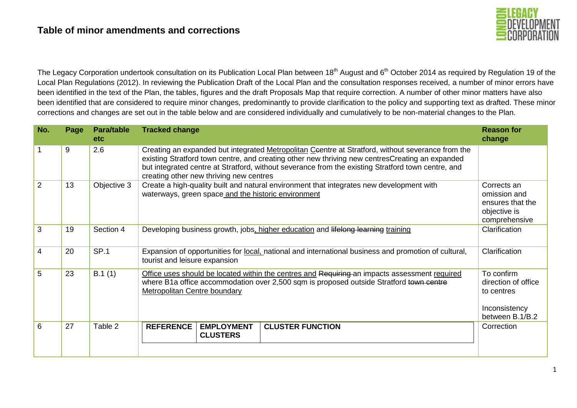

The Legacy Corporation undertook consultation on its Publication Local Plan between 18<sup>th</sup> August and 6<sup>th</sup> October 2014 as required by Regulation 19 of the Local Plan Regulations (2012). In reviewing the Publication Draft of the Local Plan and the consultation responses received, a number of minor errors have been identified in the text of the Plan, the tables, figures and the draft Proposals Map that require correction. A number of other minor matters have also been identified that are considered to require minor changes, predominantly to provide clarification to the policy and supporting text as drafted. These minor corrections and changes are set out in the table below and are considered individually and cumulatively to be non-material changes to the Plan.

| No. | Page | <b>Para/table</b><br><b>etc</b> | <b>Tracked change</b>                                                                                                                                                                                                                                                                                                                                 | <b>Reason for</b><br>change                                                         |
|-----|------|---------------------------------|-------------------------------------------------------------------------------------------------------------------------------------------------------------------------------------------------------------------------------------------------------------------------------------------------------------------------------------------------------|-------------------------------------------------------------------------------------|
|     | 9    | 2.6                             | Creating an expanded but integrated Metropolitan Ceentre at Stratford, without severance from the<br>existing Stratford town centre, and creating other new thriving new centresCreating an expanded<br>but integrated centre at Stratford, without severance from the existing Stratford town centre, and<br>creating other new thriving new centres |                                                                                     |
| 2   | 13   | Objective 3                     | Create a high-quality built and natural environment that integrates new development with<br>waterways, green space and the historic environment                                                                                                                                                                                                       | Corrects an<br>omission and<br>ensures that the<br>objective is<br>comprehensive    |
| 3   | 19   | Section 4                       | Developing business growth, jobs, higher education and lifelong learning training                                                                                                                                                                                                                                                                     | Clarification                                                                       |
| 4   | 20   | <b>SP.1</b>                     | Expansion of opportunities for local, national and international business and promotion of cultural,<br>tourist and leisure expansion                                                                                                                                                                                                                 | Clarification                                                                       |
| 5   | 23   | B.1(1)                          | Office uses should be located within the centres and Requiring an impacts assessment required<br>where B1a office accommodation over 2,500 sqm is proposed outside Stratford town centre<br>Metropolitan Centre boundary                                                                                                                              | To confirm<br>direction of office<br>to centres<br>Inconsistency<br>between B.1/B.2 |
| 6   | 27   | Table 2                         | <b>REFERENCE</b><br><b>EMPLOYMENT</b><br><b>CLUSTER FUNCTION</b><br><b>CLUSTERS</b>                                                                                                                                                                                                                                                                   | Correction                                                                          |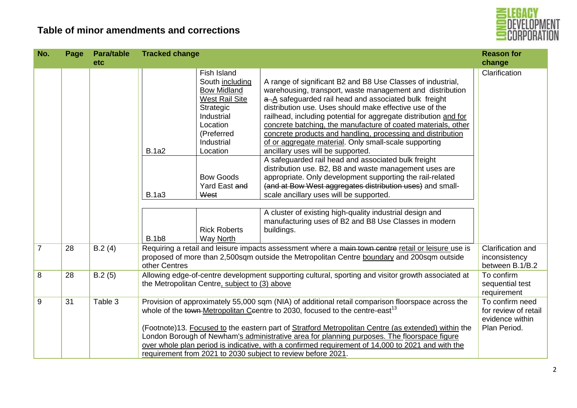

| No.            | Page | <b>Para/table</b><br>etc | <b>Tracked change</b>                        |                                                                                                                                                                                                                                        |                                                                                                                                                                                                                                                                                                                                                                                                                                                                                                                                                                                                                                                                                                                                                                                                                                                                                                                                                                         | <b>Reason for</b><br>change                                                |
|----------------|------|--------------------------|----------------------------------------------|----------------------------------------------------------------------------------------------------------------------------------------------------------------------------------------------------------------------------------------|-------------------------------------------------------------------------------------------------------------------------------------------------------------------------------------------------------------------------------------------------------------------------------------------------------------------------------------------------------------------------------------------------------------------------------------------------------------------------------------------------------------------------------------------------------------------------------------------------------------------------------------------------------------------------------------------------------------------------------------------------------------------------------------------------------------------------------------------------------------------------------------------------------------------------------------------------------------------------|----------------------------------------------------------------------------|
|                |      |                          | <b>B.1a2</b><br><b>B.1a3</b><br><b>B.1b8</b> | Fish Island<br>South including<br><b>Bow Midland</b><br>West Rail Site<br>Strategic<br>Industrial<br>Location<br>(Preferred<br>Industrial<br>Location<br><b>Bow Goods</b><br>Yard East and<br>West<br><b>Rick Roberts</b><br>Way North | A range of significant B2 and B8 Use Classes of industrial,<br>warehousing, transport, waste management and distribution<br>a.A safeguarded rail head and associated bulk freight<br>distribution use. Uses should make effective use of the<br>railhead, including potential for aggregate distribution and for<br>concrete batching, the manufacture of coated materials, other<br>concrete products and handling, processing and distribution<br>of or aggregate material. Only small-scale supporting<br>ancillary uses will be supported.<br>A safeguarded rail head and associated bulk freight<br>distribution use. B2, B8 and waste management uses are<br>appropriate. Only development supporting the rail-related<br>(and at Bow West aggregates distribution uses) and small-<br>scale ancillary uses will be supported.<br>A cluster of existing high-quality industrial design and<br>manufacturing uses of B2 and B8 Use Classes in modern<br>buildings. | Clarification                                                              |
| $\overline{7}$ | 28   | B.2(4)                   | other Centres                                |                                                                                                                                                                                                                                        | Requiring a retail and leisure impacts assessment where a main town centre retail or leisure use is<br>proposed of more than 2,500sqm outside the Metropolitan Centre boundary and 200sqm outside                                                                                                                                                                                                                                                                                                                                                                                                                                                                                                                                                                                                                                                                                                                                                                       | Clarification and<br>inconsistency<br>between B.1/B.2                      |
| 8              | 28   | B.2(5)                   |                                              | the Metropolitan Centre, subject to (3) above                                                                                                                                                                                          | Allowing edge-of-centre development supporting cultural, sporting and visitor growth associated at                                                                                                                                                                                                                                                                                                                                                                                                                                                                                                                                                                                                                                                                                                                                                                                                                                                                      | To confirm<br>sequential test<br>requirement                               |
| 9              | 31   | Table 3                  |                                              |                                                                                                                                                                                                                                        | Provision of approximately 55,000 sqm (NIA) of additional retail comparison floorspace across the<br>whole of the town-Metropolitan Ceentre to 2030, focused to the centre-east <sup>13</sup><br>(Footnote)13. Focused to the eastern part of Stratford Metropolitan Centre (as extended) within the<br>London Borough of Newham's administrative area for planning purposes. The floorspace figure<br>over whole plan period is indicative, with a confirmed requirement of 14,000 to 2021 and with the<br>requirement from 2021 to 2030 subject to review before 2021.                                                                                                                                                                                                                                                                                                                                                                                                | To confirm need<br>for review of retail<br>evidence within<br>Plan Period. |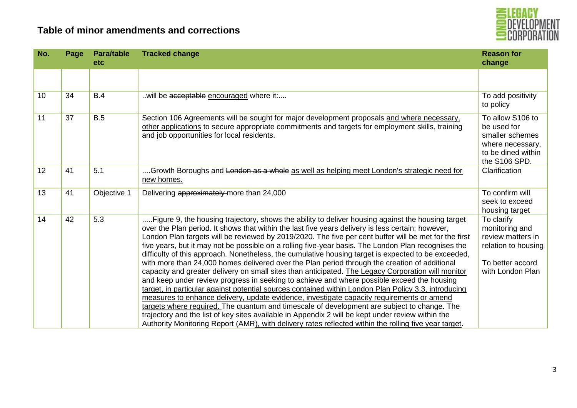



| No. | Page | <b>Para/table</b><br><b>etc</b> | <b>Tracked change</b>                                                                                                                                                                                                                                                                                                                                                                                                                                                                                                                                                                                                                                                                                                                                                                                                                                                                                                                                                                                                                                                                                                                                                                                                                                                                                                                                | <b>Reason for</b><br>change                                                                                      |
|-----|------|---------------------------------|------------------------------------------------------------------------------------------------------------------------------------------------------------------------------------------------------------------------------------------------------------------------------------------------------------------------------------------------------------------------------------------------------------------------------------------------------------------------------------------------------------------------------------------------------------------------------------------------------------------------------------------------------------------------------------------------------------------------------------------------------------------------------------------------------------------------------------------------------------------------------------------------------------------------------------------------------------------------------------------------------------------------------------------------------------------------------------------------------------------------------------------------------------------------------------------------------------------------------------------------------------------------------------------------------------------------------------------------------|------------------------------------------------------------------------------------------------------------------|
|     |      |                                 |                                                                                                                                                                                                                                                                                                                                                                                                                                                                                                                                                                                                                                                                                                                                                                                                                                                                                                                                                                                                                                                                                                                                                                                                                                                                                                                                                      |                                                                                                                  |
| 10  | 34   | B.4                             | will be acceptable encouraged where it:                                                                                                                                                                                                                                                                                                                                                                                                                                                                                                                                                                                                                                                                                                                                                                                                                                                                                                                                                                                                                                                                                                                                                                                                                                                                                                              | To add positivity<br>to policy                                                                                   |
| 11  | 37   | <b>B.5</b>                      | Section 106 Agreements will be sought for major development proposals and where necessary,<br>other applications to secure appropriate commitments and targets for employment skills, training<br>and job opportunities for local residents.                                                                                                                                                                                                                                                                                                                                                                                                                                                                                                                                                                                                                                                                                                                                                                                                                                                                                                                                                                                                                                                                                                         | To allow S106 to<br>be used for<br>smaller schemes<br>where necessary,<br>to be dined within<br>the S106 SPD.    |
| 12  | 41   | 5.1                             | Growth Boroughs and London as a whole as well as helping meet London's strategic need for<br>new homes.                                                                                                                                                                                                                                                                                                                                                                                                                                                                                                                                                                                                                                                                                                                                                                                                                                                                                                                                                                                                                                                                                                                                                                                                                                              | Clarification                                                                                                    |
| 13  | 41   | Objective 1                     | Delivering approximately more than 24,000                                                                                                                                                                                                                                                                                                                                                                                                                                                                                                                                                                                                                                                                                                                                                                                                                                                                                                                                                                                                                                                                                                                                                                                                                                                                                                            | To confirm will<br>seek to exceed<br>housing target                                                              |
| 14  | 42   | 5.3                             | Figure 9, the housing trajectory, shows the ability to deliver housing against the housing target<br>over the Plan period. It shows that within the last five years delivery is less certain; however,<br>London Plan targets will be reviewed by 2019/2020. The five per cent buffer will be met for the first<br>five years, but it may not be possible on a rolling five-year basis. The London Plan recognises the<br>difficulty of this approach. Nonetheless, the cumulative housing target is expected to be exceeded,<br>with more than 24,000 homes delivered over the Plan period through the creation of additional<br>capacity and greater delivery on small sites than anticipated. The Legacy Corporation will monitor<br>and keep under review progress in seeking to achieve and where possible exceed the housing<br>target, in particular against potential sources contained within London Plan Policy 3.3, introducing<br>measures to enhance delivery, update evidence, investigate capacity requirements or amend<br>targets where required. The quantum and timescale of development are subject to change. The<br>trajectory and the list of key sites available in Appendix 2 will be kept under review within the<br>Authority Monitoring Report (AMR), with delivery rates reflected within the rolling five year target. | To clarify<br>monitoring and<br>review matters in<br>relation to housing<br>To better accord<br>with London Plan |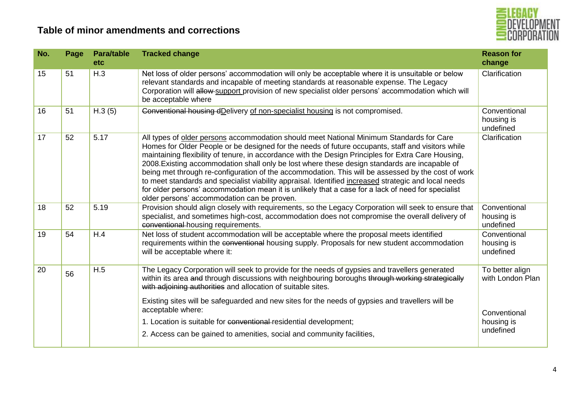

| No. | Page | <b>Para/table</b><br>etc | <b>Tracked change</b>                                                                                                                                                                                                                                                                                                                                                                                                                                                                                                                                                                                                                                                                                                                                                    | <b>Reason for</b><br>change             |
|-----|------|--------------------------|--------------------------------------------------------------------------------------------------------------------------------------------------------------------------------------------------------------------------------------------------------------------------------------------------------------------------------------------------------------------------------------------------------------------------------------------------------------------------------------------------------------------------------------------------------------------------------------------------------------------------------------------------------------------------------------------------------------------------------------------------------------------------|-----------------------------------------|
| 15  | 51   | H.3                      | Net loss of older persons' accommodation will only be acceptable where it is unsuitable or below<br>relevant standards and incapable of meeting standards at reasonable expense. The Legacy<br>Corporation will allow-support provision of new specialist older persons' accommodation which will<br>be acceptable where                                                                                                                                                                                                                                                                                                                                                                                                                                                 | Clarification                           |
| 16  | 51   | H.3(5)                   | Conventional housing dDelivery of non-specialist housing is not compromised.                                                                                                                                                                                                                                                                                                                                                                                                                                                                                                                                                                                                                                                                                             | Conventional<br>housing is<br>undefined |
| 17  | 52   | 5.17                     | All types of older persons accommodation should meet National Minimum Standards for Care<br>Homes for Older People or be designed for the needs of future occupants, staff and visitors while<br>maintaining flexibility of tenure, in accordance with the Design Principles for Extra Care Housing,<br>2008. Existing accommodation shall only be lost where these design standards are incapable of<br>being met through re-configuration of the accommodation. This will be assessed by the cost of work<br>to meet standards and specialist viability appraisal. Identified increased strategic and local needs<br>for older persons' accommodation mean it is unlikely that a case for a lack of need for specialist<br>older persons' accommodation can be proven. | Clarification                           |
| 18  | 52   | 5.19                     | Provision should align closely with requirements, so the Legacy Corporation will seek to ensure that<br>specialist, and sometimes high-cost, accommodation does not compromise the overall delivery of<br>conventional-housing requirements.                                                                                                                                                                                                                                                                                                                                                                                                                                                                                                                             | Conventional<br>housing is<br>undefined |
| 19  | 54   | H.4                      | Net loss of student accommodation will be acceptable where the proposal meets identified<br>requirements within the conventional housing supply. Proposals for new student accommodation<br>will be acceptable where it:                                                                                                                                                                                                                                                                                                                                                                                                                                                                                                                                                 | Conventional<br>housing is<br>undefined |
| 20  | 56   | H.5                      | The Legacy Corporation will seek to provide for the needs of gypsies and travellers generated<br>within its area and through discussions with neighbouring boroughs through working strategically<br>with adjoining authorities and allocation of suitable sites.<br>Existing sites will be safeguarded and new sites for the needs of gypsies and travellers will be                                                                                                                                                                                                                                                                                                                                                                                                    | To better align<br>with London Plan     |
|     |      |                          | acceptable where:<br>1. Location is suitable for conventional residential development;                                                                                                                                                                                                                                                                                                                                                                                                                                                                                                                                                                                                                                                                                   | Conventional<br>housing is              |
|     |      |                          | 2. Access can be gained to amenities, social and community facilities,                                                                                                                                                                                                                                                                                                                                                                                                                                                                                                                                                                                                                                                                                                   | undefined                               |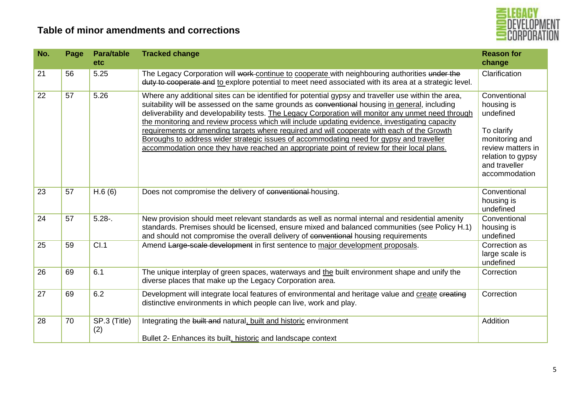

| No. | Page | <b>Para/table</b><br>etc | <b>Tracked change</b>                                                                                                                                                                                                                                                                                                                                                                                                                                                                                                                                                                                                                                                                                  | <b>Reason for</b><br>change                                                                                                                         |
|-----|------|--------------------------|--------------------------------------------------------------------------------------------------------------------------------------------------------------------------------------------------------------------------------------------------------------------------------------------------------------------------------------------------------------------------------------------------------------------------------------------------------------------------------------------------------------------------------------------------------------------------------------------------------------------------------------------------------------------------------------------------------|-----------------------------------------------------------------------------------------------------------------------------------------------------|
| 21  | 56   | 5.25                     | The Legacy Corporation will work continue to cooperate with neighbouring authorities under the<br>duty to cooperate and to explore potential to meet need associated with its area at a strategic level.                                                                                                                                                                                                                                                                                                                                                                                                                                                                                               | Clarification                                                                                                                                       |
| 22  | 57   | 5.26                     | Where any additional sites can be identified for potential gypsy and traveller use within the area,<br>suitability will be assessed on the same grounds as conventional housing in general, including<br>deliverability and developability tests. The Legacy Corporation will monitor any unmet need through<br>the monitoring and review process which will include updating evidence, investigating capacity<br>requirements or amending targets where required and will cooperate with each of the Growth<br>Boroughs to address wider strategic issues of accommodating need for gypsy and traveller<br>accommodation once they have reached an appropriate point of review for their local plans. | Conventional<br>housing is<br>undefined<br>To clarify<br>monitoring and<br>review matters in<br>relation to gypsy<br>and traveller<br>accommodation |
| 23  | 57   | H.6(6)                   | Does not compromise the delivery of conventional housing.                                                                                                                                                                                                                                                                                                                                                                                                                                                                                                                                                                                                                                              | Conventional<br>housing is<br>undefined                                                                                                             |
| 24  | 57   | $5.28 -$                 | New provision should meet relevant standards as well as normal internal and residential amenity<br>standards. Premises should be licensed, ensure mixed and balanced communities (see Policy H.1)<br>and should not compromise the overall delivery of conventional housing requirements                                                                                                                                                                                                                                                                                                                                                                                                               | Conventional<br>housing is<br>undefined                                                                                                             |
| 25  | 59   | Cl.1                     | Amend Large-scale development in first sentence to major development proposals.                                                                                                                                                                                                                                                                                                                                                                                                                                                                                                                                                                                                                        | Correction as<br>large scale is<br>undefined                                                                                                        |
| 26  | 69   | 6.1                      | The unique interplay of green spaces, waterways and the built environment shape and unify the<br>diverse places that make up the Legacy Corporation area.                                                                                                                                                                                                                                                                                                                                                                                                                                                                                                                                              | Correction                                                                                                                                          |
| 27  | 69   | 6.2                      | Development will integrate local features of environmental and heritage value and create creating<br>distinctive environments in which people can live, work and play.                                                                                                                                                                                                                                                                                                                                                                                                                                                                                                                                 | Correction                                                                                                                                          |
| 28  | 70   | SP.3 (Title)<br>(2)      | Integrating the built and natural, built and historic environment<br>Bullet 2- Enhances its built, historic and landscape context                                                                                                                                                                                                                                                                                                                                                                                                                                                                                                                                                                      | Addition                                                                                                                                            |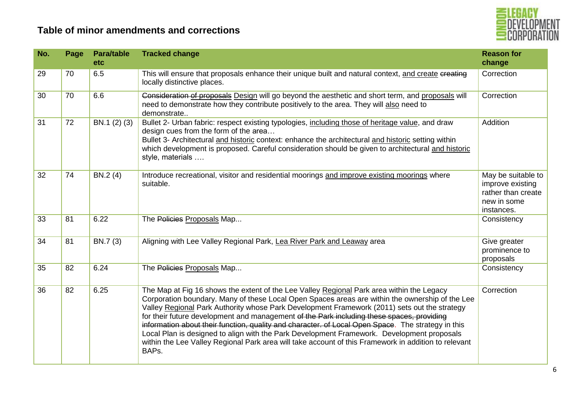

| No. | Page | <b>Para/table</b><br>etc | <b>Tracked change</b>                                                                                                                                                                                                                                                                                                                                                                                                                                                                                                                                                                                                                                                                                          | <b>Reason for</b><br>change                                                               |
|-----|------|--------------------------|----------------------------------------------------------------------------------------------------------------------------------------------------------------------------------------------------------------------------------------------------------------------------------------------------------------------------------------------------------------------------------------------------------------------------------------------------------------------------------------------------------------------------------------------------------------------------------------------------------------------------------------------------------------------------------------------------------------|-------------------------------------------------------------------------------------------|
| 29  | 70   | 6.5                      | This will ensure that proposals enhance their unique built and natural context, and create creating<br>locally distinctive places.                                                                                                                                                                                                                                                                                                                                                                                                                                                                                                                                                                             | Correction                                                                                |
| 30  | 70   | 6.6                      | Consideration of proposals Design will go beyond the aesthetic and short term, and proposals will<br>need to demonstrate how they contribute positively to the area. They will also need to<br>demonstrate                                                                                                                                                                                                                                                                                                                                                                                                                                                                                                     | Correction                                                                                |
| 31  | 72   | BN.1 (2) (3)             | Bullet 2- Urban fabric: respect existing typologies, including those of heritage value, and draw<br>design cues from the form of the area<br>Bullet 3- Architectural and historic context: enhance the architectural and historic setting within<br>which development is proposed. Careful consideration should be given to architectural and historic<br>style, materials                                                                                                                                                                                                                                                                                                                                     | Addition                                                                                  |
| 32  | 74   | BN.2 (4)                 | Introduce recreational, visitor and residential moorings and improve existing moorings where<br>suitable.                                                                                                                                                                                                                                                                                                                                                                                                                                                                                                                                                                                                      | May be suitable to<br>improve existing<br>rather than create<br>new in some<br>instances. |
| 33  | 81   | 6.22                     | The Policies Proposals Map                                                                                                                                                                                                                                                                                                                                                                                                                                                                                                                                                                                                                                                                                     | Consistency                                                                               |
| 34  | 81   | BN.7 (3)                 | Aligning with Lee Valley Regional Park, Lea River Park and Leaway area                                                                                                                                                                                                                                                                                                                                                                                                                                                                                                                                                                                                                                         | Give greater<br>prominence to<br>proposals                                                |
| 35  | 82   | 6.24                     | The Policies Proposals Map                                                                                                                                                                                                                                                                                                                                                                                                                                                                                                                                                                                                                                                                                     | Consistency                                                                               |
| 36  | 82   | 6.25                     | The Map at Fig 16 shows the extent of the Lee Valley Regional Park area within the Legacy<br>Corporation boundary. Many of these Local Open Spaces areas are within the ownership of the Lee<br>Valley Regional Park Authority whose Park Development Framework (2011) sets out the strategy<br>for their future development and management of the Park including these spaces, providing<br>information about their function, quality and character. of Local Open Space. The strategy in this<br>Local Plan is designed to align with the Park Development Framework. Development proposals<br>within the Lee Valley Regional Park area will take account of this Framework in addition to relevant<br>BAPs. | Correction                                                                                |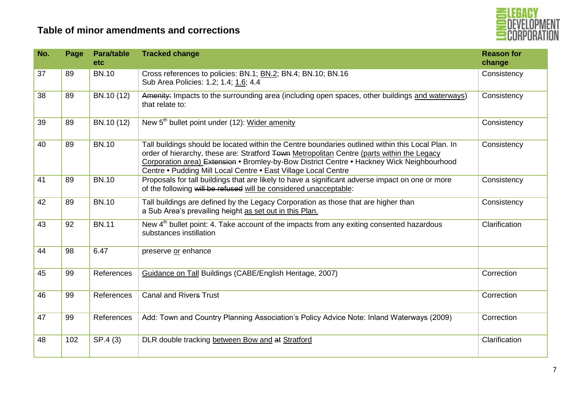

| No. | Page | <b>Para/table</b><br><b>etc</b> | <b>Tracked change</b>                                                                                                                                                                                                                                                                                                                                          | <b>Reason for</b><br>change |
|-----|------|---------------------------------|----------------------------------------------------------------------------------------------------------------------------------------------------------------------------------------------------------------------------------------------------------------------------------------------------------------------------------------------------------------|-----------------------------|
| 37  | 89   | <b>BN.10</b>                    | Cross references to policies: BN.1; BN.2; BN.4; BN.10; BN.16<br>Sub Area Policies: 1.2; 1.4; 1.6; 4.4                                                                                                                                                                                                                                                          | Consistency                 |
| 38  | 89   | BN.10 (12)                      | Amenity: Impacts to the surrounding area (including open spaces, other buildings and waterways)<br>that relate to:                                                                                                                                                                                                                                             | Consistency                 |
| 39  | 89   | BN.10 (12)                      | New 5 <sup>th</sup> bullet point under (12): Wider amenity                                                                                                                                                                                                                                                                                                     | Consistency                 |
| 40  | 89   | <b>BN.10</b>                    | Tall buildings should be located within the Centre boundaries outlined within this Local Plan. In<br>order of hierarchy, these are: Stratford Town Metropolitan Centre (parts within the Legacy<br>Corporation area) Extension • Bromley-by-Bow District Centre • Hackney Wick Neighbourhood<br>Centre • Pudding Mill Local Centre • East Village Local Centre | Consistency                 |
| 41  | 89   | <b>BN.10</b>                    | Proposals for tall buildings that are likely to have a significant adverse impact on one or more<br>of the following will be refused will be considered unacceptable:                                                                                                                                                                                          | Consistency                 |
| 42  | 89   | <b>BN.10</b>                    | Tall buildings are defined by the Legacy Corporation as those that are higher than<br>a Sub Area's prevailing height as set out in this Plan.                                                                                                                                                                                                                  | Consistency                 |
| 43  | 92   | <b>BN.11</b>                    | New 4 <sup>th</sup> bullet point: 4. Take account of the impacts from any exiting consented hazardous<br>substances instillation                                                                                                                                                                                                                               | Clarification               |
| 44  | 98   | 6.47                            | preserve or enhance                                                                                                                                                                                                                                                                                                                                            |                             |
| 45  | 99   | References                      | Guidance on Tall Buildings (CABE/English Heritage, 2007)                                                                                                                                                                                                                                                                                                       | Correction                  |
| 46  | 99   | References                      | <b>Canal and Rivers Trust</b>                                                                                                                                                                                                                                                                                                                                  | Correction                  |
| 47  | 99   | References                      | Add: Town and Country Planning Association's Policy Advice Note: Inland Waterways (2009)                                                                                                                                                                                                                                                                       | Correction                  |
| 48  | 102  | SP.4 (3)                        | DLR double tracking between Bow and at Stratford                                                                                                                                                                                                                                                                                                               | Clarification               |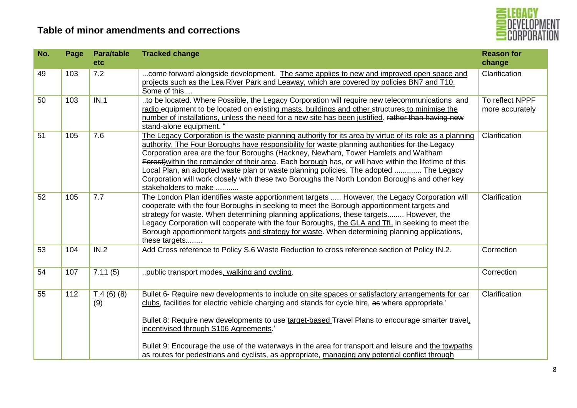

| No. | Page | <b>Para/table</b><br>etc | <b>Tracked change</b>                                                                                                                                                                                                                                                                                                                                                                                                                                                                                                                                                                                                       | <b>Reason for</b><br>change        |
|-----|------|--------------------------|-----------------------------------------------------------------------------------------------------------------------------------------------------------------------------------------------------------------------------------------------------------------------------------------------------------------------------------------------------------------------------------------------------------------------------------------------------------------------------------------------------------------------------------------------------------------------------------------------------------------------------|------------------------------------|
| 49  | 103  | 7.2                      | come forward alongside development. The same applies to new and improved open space and<br>projects such as the Lea River Park and Leaway, which are covered by policies BN7 and T10.<br>Some of this                                                                                                                                                                                                                                                                                                                                                                                                                       | Clarification                      |
| 50  | 103  | IN.1                     | to be located. Where Possible, the Legacy Corporation will require new telecommunications and<br>radio equipment to be located on existing masts, buildings and other structures to minimise the<br>number of installations, unless the need for a new site has been justified. rather than having new<br>stand-alone equipment. "                                                                                                                                                                                                                                                                                          | To reflect NPPF<br>more accurately |
| 51  | 105  | 7.6                      | The Legacy Corporation is the waste planning authority for its area by virtue of its role as a planning<br>authority. The Four Boroughs have responsibility for waste planning authorities for the Legacy<br>Corporation area are the four Boroughs (Hackney, Newham, Tower Hamlets and Waltham<br>Forest) within the remainder of their area. Each borough has, or will have within the lifetime of this<br>Local Plan, an adopted waste plan or waste planning policies. The adopted  The Legacy<br>Corporation will work closely with these two Boroughs the North London Boroughs and other key<br>stakeholders to make | Clarification                      |
| 52  | 105  | 7.7                      | The London Plan identifies waste apportionment targets  However, the Legacy Corporation will<br>cooperate with the four Boroughs in seeking to meet the Borough apportionment targets and<br>strategy for waste. When determining planning applications, these targets However, the<br>Legacy Corporation will cooperate with the four Boroughs, the GLA and TfL in seeking to meet the<br>Borough apportionment targets and strategy for waste. When determining planning applications,<br>these targets                                                                                                                   | Clarification                      |
| 53  | 104  | IN.2                     | Add Cross reference to Policy S.6 Waste Reduction to cross reference section of Policy IN.2.                                                                                                                                                                                                                                                                                                                                                                                                                                                                                                                                | Correction                         |
| 54  | 107  | 7.11(5)                  | public transport modes, walking and cycling.                                                                                                                                                                                                                                                                                                                                                                                                                                                                                                                                                                                | Correction                         |
| 55  | 112  | T.4(6)(8)<br>(9)         | Bullet 6- Require new developments to include on site spaces or satisfactory arrangements for car<br>clubs, facilities for electric vehicle charging and stands for cycle hire, as where appropriate.<br>Bullet 8: Require new developments to use target-based Travel Plans to encourage smarter travel,<br>incentivised through S106 Agreements.'<br>Bullet 9: Encourage the use of the waterways in the area for transport and leisure and the towpaths<br>as routes for pedestrians and cyclists, as appropriate, managing any potential conflict through                                                               | Clarification                      |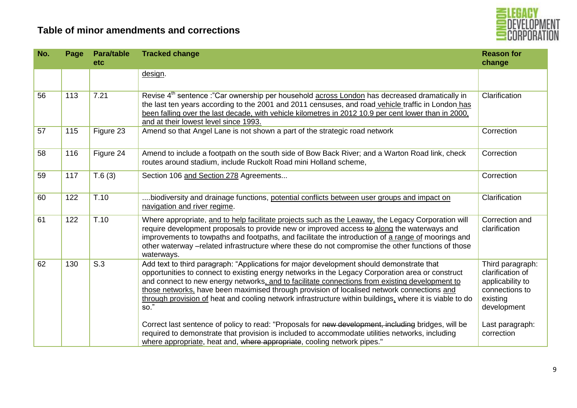



| No. | Page | <b>Para/table</b><br>etc | <b>Tracked change</b>                                                                                                                                                                                                                                                                                                                                                                                                                                                                                                                                                                                                               | <b>Reason for</b><br>change                                                                                              |
|-----|------|--------------------------|-------------------------------------------------------------------------------------------------------------------------------------------------------------------------------------------------------------------------------------------------------------------------------------------------------------------------------------------------------------------------------------------------------------------------------------------------------------------------------------------------------------------------------------------------------------------------------------------------------------------------------------|--------------------------------------------------------------------------------------------------------------------------|
|     |      |                          | design.                                                                                                                                                                                                                                                                                                                                                                                                                                                                                                                                                                                                                             |                                                                                                                          |
| 56  | 113  | 7.21                     | Revise 4 <sup>th</sup> sentence :"Car ownership per household across London has decreased dramatically in<br>the last ten years according to the 2001 and 2011 censuses, and road vehicle traffic in London has<br>been falling over the last decade, with vehicle kilometres in 2012 10.9 per cent lower than in 2000,<br>and at their lowest level since 1993.                                                                                                                                                                                                                                                                    | Clarification                                                                                                            |
| 57  | 115  | Figure 23                | Amend so that Angel Lane is not shown a part of the strategic road network                                                                                                                                                                                                                                                                                                                                                                                                                                                                                                                                                          | Correction                                                                                                               |
| 58  | 116  | Figure 24                | Amend to include a footpath on the south side of Bow Back River; and a Warton Road link, check<br>routes around stadium, include Ruckolt Road mini Holland scheme,                                                                                                                                                                                                                                                                                                                                                                                                                                                                  | Correction                                                                                                               |
| 59  | 117  | T.6(3)                   | Section 106 and Section 278 Agreements                                                                                                                                                                                                                                                                                                                                                                                                                                                                                                                                                                                              | Correction                                                                                                               |
| 60  | 122  | T.10                     | biodiversity and drainage functions, potential conflicts between user groups and impact on<br>navigation and river regime.                                                                                                                                                                                                                                                                                                                                                                                                                                                                                                          | Clarification                                                                                                            |
| 61  | 122  | T.10                     | Where appropriate, and to help facilitate projects such as the Leaway, the Legacy Corporation will<br>require development proposals to provide new or improved access to along the waterways and<br>improvements to towpaths and footpaths, and facilitate the introduction of a range of moorings and<br>other waterway -related infrastructure where these do not compromise the other functions of those<br>waterways.                                                                                                                                                                                                           | Correction and<br>clarification                                                                                          |
| 62  | 130  | S.3                      | Add text to third paragraph: "Applications for major development should demonstrate that<br>opportunities to connect to existing energy networks in the Legacy Corporation area or construct<br>and connect to new energy networks, and to facilitate connections from existing development to<br>those networks, have been maximised through provision of localised network connections and<br>through provision of heat and cooling network infrastructure within buildings, where it is viable to do<br>$\overline{SO."}$<br>Correct last sentence of policy to read: "Proposals for new development, including bridges, will be | Third paragraph:<br>clarification of<br>applicability to<br>connections to<br>existing<br>development<br>Last paragraph: |
|     |      |                          | required to demonstrate that provision is included to accommodate utilities networks, including<br>where appropriate, heat and, where appropriate, cooling network pipes."                                                                                                                                                                                                                                                                                                                                                                                                                                                          | correction                                                                                                               |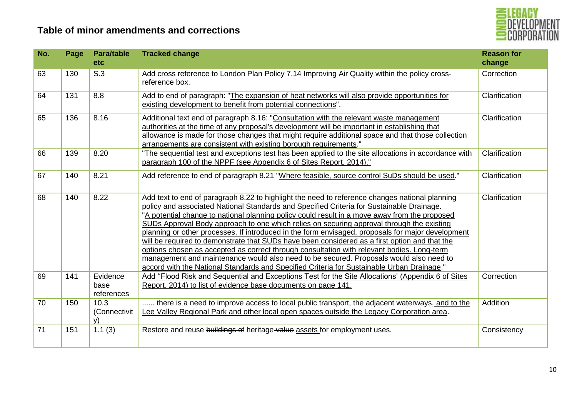

| No. | Page | <b>Para/table</b><br>etc.      | <b>Tracked change</b>                                                                                                                                                                                                                                                                                                                                                                                                                                                                                                                                                                                                                                                                                                                                                                                                                                                                 | <b>Reason for</b><br>change |
|-----|------|--------------------------------|---------------------------------------------------------------------------------------------------------------------------------------------------------------------------------------------------------------------------------------------------------------------------------------------------------------------------------------------------------------------------------------------------------------------------------------------------------------------------------------------------------------------------------------------------------------------------------------------------------------------------------------------------------------------------------------------------------------------------------------------------------------------------------------------------------------------------------------------------------------------------------------|-----------------------------|
| 63  | 130  | S.3                            | Add cross reference to London Plan Policy 7.14 Improving Air Quality within the policy cross-<br>reference box.                                                                                                                                                                                                                                                                                                                                                                                                                                                                                                                                                                                                                                                                                                                                                                       | Correction                  |
| 64  | 131  | 8.8                            | Add to end of paragraph: "The expansion of heat networks will also provide opportunities for<br>existing development to benefit from potential connections".                                                                                                                                                                                                                                                                                                                                                                                                                                                                                                                                                                                                                                                                                                                          | Clarification               |
| 65  | 136  | 8.16                           | Additional text end of paragraph 8.16: "Consultation with the relevant waste management<br>authorities at the time of any proposal's development will be important in establishing that<br>allowance is made for those changes that might require additional space and that those collection<br>arrangements are consistent with existing borough requirements."                                                                                                                                                                                                                                                                                                                                                                                                                                                                                                                      | Clarification               |
| 66  | 139  | 8.20                           | "The sequential test and exceptions test has been applied to the site allocations in accordance with<br>paragraph 100 of the NPPF (see Appendix 6 of Sites Report, 2014)."                                                                                                                                                                                                                                                                                                                                                                                                                                                                                                                                                                                                                                                                                                            | Clarification               |
| 67  | 140  | 8.21                           | Add reference to end of paragraph 8.21 "Where feasible, source control SuDs should be used."                                                                                                                                                                                                                                                                                                                                                                                                                                                                                                                                                                                                                                                                                                                                                                                          | Clarification               |
| 68  | 140  | 8.22                           | Add text to end of paragraph 8.22 to highlight the need to reference changes national planning<br>policy and associated National Standards and Specified Criteria for Sustainable Drainage.<br>"A potential change to national planning policy could result in a move away from the proposed<br>SUDs Approval Body approach to one which relies on securing approval through the existing<br>planning or other processes. If introduced in the form envisaged, proposals for major development<br>will be required to demonstrate that SUDs have been considered as a first option and that the<br>options chosen as accepted as correct through consultation with relevant bodies. Long-term<br>management and maintenance would also need to be secured. Proposals would also need to<br>accord with the National Standards and Specified Criteria for Sustainable Urban Drainage." | Clarification               |
| 69  | 141  | Evidence<br>base<br>references | Add "Flood Risk and Sequential and Exceptions Test for the Site Allocations' (Appendix 6 of Sites<br>Report, 2014) to list of evidence base documents on page 141.                                                                                                                                                                                                                                                                                                                                                                                                                                                                                                                                                                                                                                                                                                                    | Correction                  |
| 70  | 150  | 10.3<br>(Connectivit<br>y)     | there is a need to improve access to local public transport, the adjacent waterways, and to the<br>Lee Valley Regional Park and other local open spaces outside the Legacy Corporation area.                                                                                                                                                                                                                                                                                                                                                                                                                                                                                                                                                                                                                                                                                          | Addition                    |
| 71  | 151  | 1.1(3)                         | Restore and reuse buildings of heritage value assets for employment uses.                                                                                                                                                                                                                                                                                                                                                                                                                                                                                                                                                                                                                                                                                                                                                                                                             | Consistency                 |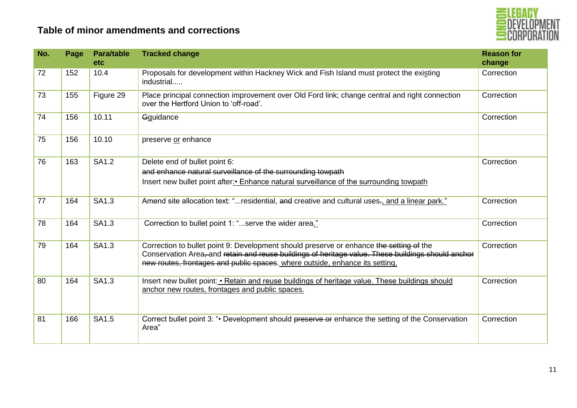

| No. | Page | <b>Para/table</b><br><b>etc</b> | <b>Tracked change</b>                                                                                                                                                                                                                                                         | <b>Reason for</b><br>change |
|-----|------|---------------------------------|-------------------------------------------------------------------------------------------------------------------------------------------------------------------------------------------------------------------------------------------------------------------------------|-----------------------------|
| 72  | 152  | 10.4                            | Proposals for development within Hackney Wick and Fish Island must protect the existing<br>industrial                                                                                                                                                                         | Correction                  |
| 73  | 155  | Figure 29                       | Place principal connection improvement over Old Ford link; change central and right connection<br>over the Hertford Union to 'off-road'.                                                                                                                                      | Correction                  |
| 74  | 156  | 10.11                           | Gguidance                                                                                                                                                                                                                                                                     | Correction                  |
| 75  | 156  | 10.10                           | preserve or enhance                                                                                                                                                                                                                                                           |                             |
| 76  | 163  | SA1.2                           | Delete end of bullet point 6:<br>and enhance natural surveillance of the surrounding towpath<br>Insert new bullet point after: • Enhance natural surveillance of the surrounding towpath                                                                                      | Correction                  |
| 77  | 164  | SA1.3                           | Amend site allocation text: "residential, and creative and cultural uses-, and a linear park."                                                                                                                                                                                | Correction                  |
| 78  | 164  | SA1.3                           | Correction to bullet point 1: "serve the wider area."                                                                                                                                                                                                                         | Correction                  |
| 79  | 164  | SA1.3                           | Correction to bullet point 9: Development should preserve or enhance the setting of the<br>Conservation Area, and retain and reuse buildings of heritage value. These buildings should anchor<br>new routes, frontages and public spaces. where outside, enhance its setting. | Correction                  |
| 80  | 164  | SA1.3                           | Insert new bullet point: • Retain and reuse buildings of heritage value. These buildings should<br>anchor new routes, frontages and public spaces.                                                                                                                            | Correction                  |
| 81  | 166  | SA1.5                           | Correct bullet point 3: "• Development should preserve or enhance the setting of the Conservation<br>Area"                                                                                                                                                                    | Correction                  |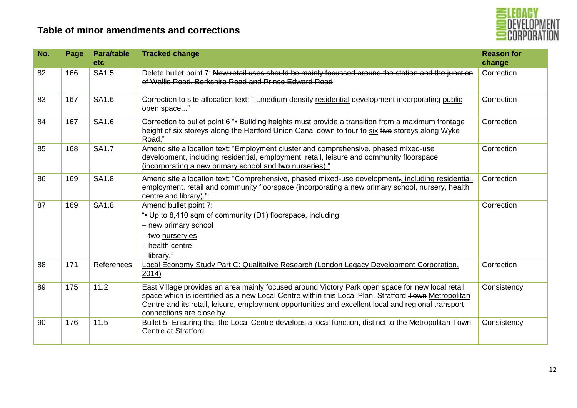

| No. | Page | <b>Para/table</b><br><b>etc</b> | <b>Tracked change</b>                                                                                                                                                                                                                                                                                                                       | <b>Reason for</b><br>change |
|-----|------|---------------------------------|---------------------------------------------------------------------------------------------------------------------------------------------------------------------------------------------------------------------------------------------------------------------------------------------------------------------------------------------|-----------------------------|
| 82  | 166  | SA1.5                           | Delete bullet point 7: New retail uses should be mainly focussed around the station and the junction<br>of Wallis Road, Berkshire Road and Prince Edward Road                                                                                                                                                                               | Correction                  |
| 83  | 167  | SA1.6                           | Correction to site allocation text: "medium density residential development incorporating public<br>open space"                                                                                                                                                                                                                             | Correction                  |
| 84  | 167  | SA1.6                           | Correction to bullet point 6 "• Building heights must provide a transition from a maximum frontage<br>height of six storeys along the Hertford Union Canal down to four to six five storeys along Wyke<br>Road."                                                                                                                            | Correction                  |
| 85  | 168  | <b>SA1.7</b>                    | Amend site allocation text: "Employment cluster and comprehensive, phased mixed-use<br>development, including residential, employment, retail, leisure and community floorspace<br>(incorporating a new primary school and two nurseries)."                                                                                                 | Correction                  |
| 86  | 169  | <b>SA1.8</b>                    | Amend site allocation text: "Comprehensive, phased mixed-use development-, including residential,<br>employment, retail and community floorspace (incorporating a new primary school, nursery, health<br>centre and library)."                                                                                                              | Correction                  |
| 87  | 169  | <b>SA1.8</b>                    | Amend bullet point 7:<br>". Up to 8,410 sqm of community (D1) floorspace, including:<br>- new primary school<br>- two nurservies<br>$-$ health centre<br>- library."                                                                                                                                                                        | Correction                  |
| 88  | 171  | References                      | Local Economy Study Part C: Qualitative Research (London Legacy Development Corporation,<br>2014)                                                                                                                                                                                                                                           | Correction                  |
| 89  | 175  | 11.2                            | East Village provides an area mainly focused around Victory Park open space for new local retail<br>space which is identified as a new Local Centre within this Local Plan. Stratford Town Metropolitan<br>Centre and its retail, leisure, employment opportunities and excellent local and regional transport<br>connections are close by. | Consistency                 |
| 90  | 176  | 11.5                            | Bullet 5- Ensuring that the Local Centre develops a local function, distinct to the Metropolitan Town<br>Centre at Stratford.                                                                                                                                                                                                               | Consistency                 |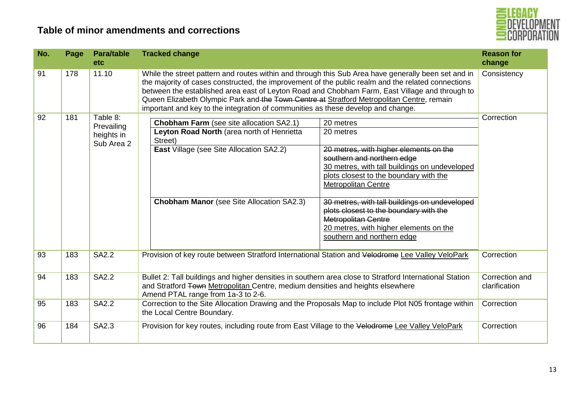

| No. | Page | <b>Para/table</b><br><b>etc</b>                    | <b>Tracked change</b>                                                                                                                                                                                                                                                                                                                                                                                                                                                                                                                                                                                                                       | <b>Reason for</b><br>change     |
|-----|------|----------------------------------------------------|---------------------------------------------------------------------------------------------------------------------------------------------------------------------------------------------------------------------------------------------------------------------------------------------------------------------------------------------------------------------------------------------------------------------------------------------------------------------------------------------------------------------------------------------------------------------------------------------------------------------------------------------|---------------------------------|
| 91  | 178  | 11.10                                              | While the street pattern and routes within and through this Sub Area have generally been set and in<br>the majority of cases constructed, the improvement of the public realm and the related connections<br>between the established area east of Leyton Road and Chobham Farm, East Village and through to<br>Queen Elizabeth Olympic Park and the Town Centre at Stratford Metropolitan Centre, remain<br>important and key to the integration of communities as these develop and change.                                                                                                                                                | Consistency                     |
| 92  | 181  | Table 8:<br>Prevailing<br>heights in<br>Sub Area 2 | <b>Chobham Farm</b> (see site allocation SA2.1)<br>20 metres<br>Leyton Road North (area north of Henrietta<br>20 metres<br>Street)<br><b>East Village (see Site Allocation SA2.2)</b><br>20 metres, with higher elements on the<br>southern and northern edge<br>30 metres, with tall buildings on undeveloped<br>plots closest to the boundary with the<br><b>Metropolitan Centre</b><br><b>Chobham Manor</b> (see Site Allocation SA2.3)<br>30 metres, with tall buildings on undeveloped<br>plots closest to the boundary with the<br><b>Metropolitan Centre</b><br>20 metres, with higher elements on the<br>southern and northern edge | Correction                      |
| 93  | 183  | <b>SA2.2</b>                                       | Provision of key route between Stratford International Station and Velodrome Lee Valley VeloPark                                                                                                                                                                                                                                                                                                                                                                                                                                                                                                                                            | Correction                      |
| 94  | 183  | <b>SA2.2</b>                                       | Bullet 2: Tall buildings and higher densities in southern area close to Stratford International Station<br>and Stratford Town Metropolitan Centre, medium densities and heights elsewhere<br>Amend PTAL range from 1a-3 to 2-6.                                                                                                                                                                                                                                                                                                                                                                                                             | Correction and<br>clarification |
| 95  | 183  | <b>SA2.2</b>                                       | Correction to the Site Allocation Drawing and the Proposals Map to include Plot N05 frontage within<br>the Local Centre Boundary.                                                                                                                                                                                                                                                                                                                                                                                                                                                                                                           | Correction                      |
| 96  | 184  | SA2.3                                              | Provision for key routes, including route from East Village to the Velodrome Lee Valley VeloPark                                                                                                                                                                                                                                                                                                                                                                                                                                                                                                                                            | Correction                      |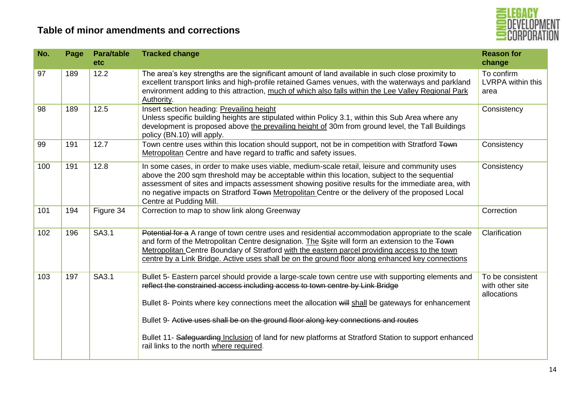

| Page | <b>Para/table</b><br>etc | <b>Tracked change</b>                                                                                                                                                                                                                                                                                                                                                                                                                                                                                                              | <b>Reason for</b><br>change                                                                     |
|------|--------------------------|------------------------------------------------------------------------------------------------------------------------------------------------------------------------------------------------------------------------------------------------------------------------------------------------------------------------------------------------------------------------------------------------------------------------------------------------------------------------------------------------------------------------------------|-------------------------------------------------------------------------------------------------|
| 189  | 12.2                     | The area's key strengths are the significant amount of land available in such close proximity to<br>excellent transport links and high-profile retained Games venues, with the waterways and parkland<br>environment adding to this attraction, much of which also falls within the Lee Valley Regional Park<br>Authority.                                                                                                                                                                                                         | To confirm<br><b>LVRPA within this</b><br>area                                                  |
| 189  | 12.5                     | Insert section heading: Prevailing height<br>Unless specific building heights are stipulated within Policy 3.1, within this Sub Area where any<br>development is proposed above the prevailing height of 30m from ground level, the Tall Buildings<br>policy (BN.10) will apply.                                                                                                                                                                                                                                                   | Consistency                                                                                     |
| 191  | 12.7                     | Metropolitan Centre and have regard to traffic and safety issues.                                                                                                                                                                                                                                                                                                                                                                                                                                                                  | Consistency                                                                                     |
| 191  | 12.8                     | In some cases, in order to make uses viable, medium-scale retail, leisure and community uses<br>above the 200 sqm threshold may be acceptable within this location, subject to the sequential<br>assessment of sites and impacts assessment showing positive results for the immediate area, with<br>no negative impacts on Stratford Town Metropolitan Centre or the delivery of the proposed Local<br>Centre at Pudding Mill.                                                                                                    | Consistency                                                                                     |
| 194  | Figure 34                | Correction to map to show link along Greenway                                                                                                                                                                                                                                                                                                                                                                                                                                                                                      | Correction                                                                                      |
| 196  | SA3.1                    | Potential for a A range of town centre uses and residential accommodation appropriate to the scale<br>and form of the Metropolitan Centre designation. The Ssite will form an extension to the Town<br>Metropolitan Centre Boundary of Stratford with the eastern parcel providing access to the town<br>centre by a Link Bridge. Active uses shall be on the ground floor along enhanced key connections                                                                                                                          | Clarification                                                                                   |
| 197  | SA3.1                    | Bullet 5- Eastern parcel should provide a large-scale town centre use with supporting elements and<br>reflect the constrained access including access to town centre by Link Bridge<br>Bullet 8- Points where key connections meet the allocation will shall be gateways for enhancement<br>Bullet 9- Active uses shall be on the ground floor along key connections and routes<br>Bullet 11- Safeguarding Inclusion of land for new platforms at Stratford Station to support enhanced<br>rail links to the north where required. | To be consistent<br>with other site<br>allocations                                              |
|      |                          |                                                                                                                                                                                                                                                                                                                                                                                                                                                                                                                                    | Town centre uses within this location should support, not be in competition with Stratford Town |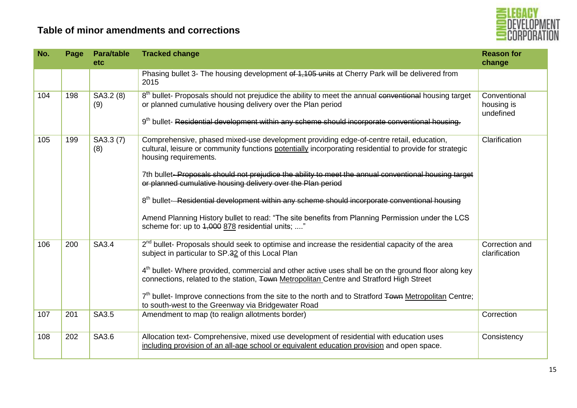

| No. | Page | <b>Para/table</b><br><b>etc</b> | <b>Tracked change</b>                                                                                                                                                                                                                                                                          | <b>Reason for</b><br>change             |
|-----|------|---------------------------------|------------------------------------------------------------------------------------------------------------------------------------------------------------------------------------------------------------------------------------------------------------------------------------------------|-----------------------------------------|
|     |      |                                 | Phasing bullet 3- The housing development of 1,105 units at Cherry Park will be delivered from<br>2015                                                                                                                                                                                         |                                         |
| 104 | 198  | SA3.2 (8)<br>(9)                | 8 <sup>th</sup> bullet- Proposals should not prejudice the ability to meet the annual conventional housing target<br>or planned cumulative housing delivery over the Plan period<br>9 <sup>th</sup> bullet- Residential development within any scheme should incorporate conventional housing. | Conventional<br>housing is<br>undefined |
| 105 | 199  | SA3.3 (7)<br>(8)                | Comprehensive, phased mixed-use development providing edge-of-centre retail, education,<br>cultural, leisure or community functions potentially incorporating residential to provide for strategic<br>housing requirements.                                                                    | Clarification                           |
|     |      |                                 | 7th bullet-Proposals should not prejudice the ability to meet the annual conventional housing target<br>or planned cumulative housing delivery over the Plan period                                                                                                                            |                                         |
|     |      |                                 | 8 <sup>th</sup> bullet-Residential development within any scheme should incorporate conventional housing                                                                                                                                                                                       |                                         |
|     |      |                                 | Amend Planning History bullet to read: "The site benefits from Planning Permission under the LCS<br>scheme for: up to 4,000 878 residential units; "                                                                                                                                           |                                         |
| 106 | 200  | SA3.4                           | $2nd$ bullet- Proposals should seek to optimise and increase the residential capacity of the area<br>subject in particular to SP.32 of this Local Plan                                                                                                                                         | Correction and<br>clarification         |
|     |      |                                 | 4 <sup>th</sup> bullet- Where provided, commercial and other active uses shall be on the ground floor along key<br>connections, related to the station, Town Metropolitan Centre and Stratford High Street                                                                                     |                                         |
|     |      |                                 | $7th$ bullet- Improve connections from the site to the north and to Stratford Town Metropolitan Centre;<br>to south-west to the Greenway via Bridgewater Road                                                                                                                                  |                                         |
| 107 | 201  | SA3.5                           | Amendment to map (to realign allotments border)                                                                                                                                                                                                                                                | Correction                              |
| 108 | 202  | SA3.6                           | Allocation text- Comprehensive, mixed use development of residential with education uses<br>including provision of an all-age school or equivalent education provision and open space.                                                                                                         | Consistency                             |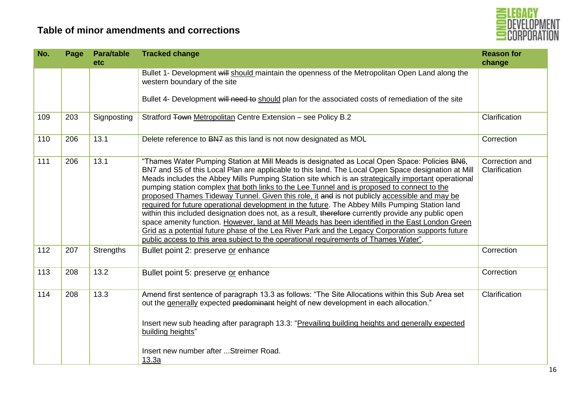

| No. | Page | <b>Para/table</b><br>etc | <b>Tracked change</b>                                                                                                                                                                                                                                                                                                                                                                                                                                                                                                                                                                                                                                                                                                                                                                                                                                                                                                                                                                                                 | <b>Reason for</b><br>change     |
|-----|------|--------------------------|-----------------------------------------------------------------------------------------------------------------------------------------------------------------------------------------------------------------------------------------------------------------------------------------------------------------------------------------------------------------------------------------------------------------------------------------------------------------------------------------------------------------------------------------------------------------------------------------------------------------------------------------------------------------------------------------------------------------------------------------------------------------------------------------------------------------------------------------------------------------------------------------------------------------------------------------------------------------------------------------------------------------------|---------------------------------|
|     |      |                          | Bullet 1- Development will should maintain the openness of the Metropolitan Open Land along the<br>western boundary of the site                                                                                                                                                                                                                                                                                                                                                                                                                                                                                                                                                                                                                                                                                                                                                                                                                                                                                       |                                 |
|     |      |                          | Bullet 4- Development will need to should plan for the associated costs of remediation of the site                                                                                                                                                                                                                                                                                                                                                                                                                                                                                                                                                                                                                                                                                                                                                                                                                                                                                                                    |                                 |
| 109 | 203  | Signposting              | Stratford Town Metropolitan Centre Extension - see Policy B.2                                                                                                                                                                                                                                                                                                                                                                                                                                                                                                                                                                                                                                                                                                                                                                                                                                                                                                                                                         | Clarification                   |
| 110 | 206  | 13.1                     | Delete reference to BN7 as this land is not now designated as MOL                                                                                                                                                                                                                                                                                                                                                                                                                                                                                                                                                                                                                                                                                                                                                                                                                                                                                                                                                     | Correction                      |
| 111 | 206  | 13.1                     | "Thames Water Pumping Station at Mill Meads is designated as Local Open Space: Policies BN6,<br>BN7 and S5 of this Local Plan are applicable to this land. The Local Open Space designation at Mill<br>Meads includes the Abbey Mills Pumping Station site which is an strategically important operational<br>pumping station complex that both links to the Lee Tunnel and is proposed to connect to the<br>proposed Thames Tideway Tunnel. Given this role, it and is not publicly accessible and may be<br>required for future operational development in the future. The Abbey Mills Pumping Station land<br>within this included designation does not, as a result, therefore currently provide any public open<br>space amenity function. However, land at Mill Meads has been identified in the East London Green<br>Grid as a potential future phase of the Lea River Park and the Legacy Corporation supports future<br>public access to this area subject to the operational requirements of Thames Water". | Correction and<br>Clarification |
| 112 | 207  | Strengths                | Bullet point 2: preserve or enhance                                                                                                                                                                                                                                                                                                                                                                                                                                                                                                                                                                                                                                                                                                                                                                                                                                                                                                                                                                                   | Correction                      |
| 113 | 208  | 13.2                     | Bullet point 5: preserve or enhance                                                                                                                                                                                                                                                                                                                                                                                                                                                                                                                                                                                                                                                                                                                                                                                                                                                                                                                                                                                   | Correction                      |
| 114 | 208  | 13.3                     | Amend first sentence of paragraph 13.3 as follows: "The Site Allocations within this Sub Area set<br>out the generally expected predominant height of new development in each allocation."<br>Insert new sub heading after paragraph 13.3: "Prevailing building heights and generally expected<br>building heights"<br>Insert new number after  Streimer Road.<br>13.3a                                                                                                                                                                                                                                                                                                                                                                                                                                                                                                                                                                                                                                               | Clarification                   |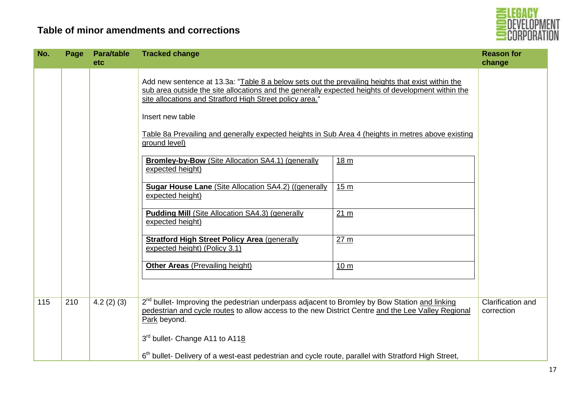

| No. | Page | <b>Para/table</b><br>etc | <b>Tracked change</b>                                                                                                                                                                                                                                                                                                                                                                                          |                 | <b>Reason for</b><br>change     |
|-----|------|--------------------------|----------------------------------------------------------------------------------------------------------------------------------------------------------------------------------------------------------------------------------------------------------------------------------------------------------------------------------------------------------------------------------------------------------------|-----------------|---------------------------------|
|     |      |                          | Add new sentence at 13.3a: "Table 8 a below sets out the prevailing heights that exist within the<br>sub area outside the site allocations and the generally expected heights of development within the<br>site allocations and Stratford High Street policy area."<br>Insert new table<br>Table 8a Prevailing and generally expected heights in Sub Area 4 (heights in metres above existing<br>ground level) |                 |                                 |
|     |      |                          | <b>Bromley-by-Bow</b> (Site Allocation SA4.1) (generally<br>expected height)                                                                                                                                                                                                                                                                                                                                   | 18 <sub>m</sub> |                                 |
|     |      |                          | <b>Sugar House Lane (Site Allocation SA4.2) ((generally</b><br>expected height)                                                                                                                                                                                                                                                                                                                                | 15 <sub>m</sub> |                                 |
|     |      |                          | <b>Pudding Mill (Site Allocation SA4.3) (generally</b><br>expected height)                                                                                                                                                                                                                                                                                                                                     | 21 m            |                                 |
|     |      |                          | <b>Stratford High Street Policy Area (generally</b><br>expected height) (Policy 3.1)                                                                                                                                                                                                                                                                                                                           | 27 m            |                                 |
|     |      |                          | <b>Other Areas (Prevailing height)</b>                                                                                                                                                                                                                                                                                                                                                                         | 10 <sub>m</sub> |                                 |
| 115 | 210  | 4.2(2)(3)                | 2 <sup>nd</sup> bullet- Improving the pedestrian underpass adjacent to Bromley by Bow Station and linking<br>pedestrian and cycle routes to allow access to the new District Centre and the Lee Valley Regional<br>Park beyond.                                                                                                                                                                                |                 | Clarification and<br>correction |
|     |      |                          | 3 <sup>rd</sup> bullet- Change A11 to A118<br>6 <sup>th</sup> bullet- Delivery of a west-east pedestrian and cycle route, parallel with Stratford High Street,                                                                                                                                                                                                                                                 |                 |                                 |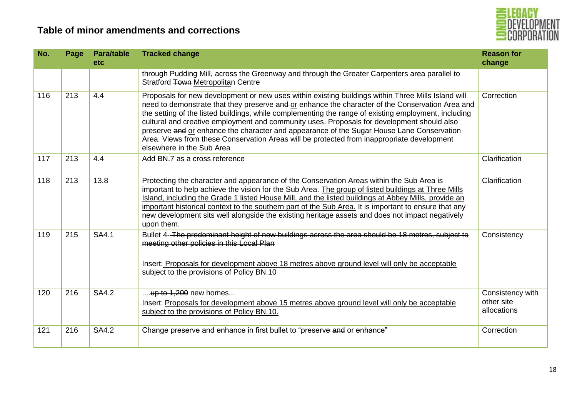

| No. | Page | <b>Para/table</b><br><b>etc</b> | <b>Tracked change</b>                                                                                                                                                                                                                                                                                                                                                                                                                                                                                                                                                                                                                | <b>Reason for</b><br>change                   |
|-----|------|---------------------------------|--------------------------------------------------------------------------------------------------------------------------------------------------------------------------------------------------------------------------------------------------------------------------------------------------------------------------------------------------------------------------------------------------------------------------------------------------------------------------------------------------------------------------------------------------------------------------------------------------------------------------------------|-----------------------------------------------|
|     |      |                                 | through Pudding Mill, across the Greenway and through the Greater Carpenters area parallel to<br>Stratford Town Metropolitan Centre                                                                                                                                                                                                                                                                                                                                                                                                                                                                                                  |                                               |
| 116 | 213  | 4.4                             | Proposals for new development or new uses within existing buildings within Three Mills Island will<br>need to demonstrate that they preserve and or enhance the character of the Conservation Area and<br>the setting of the listed buildings, while complementing the range of existing employment, including<br>cultural and creative employment and community uses. Proposals for development should also<br>preserve and or enhance the character and appearance of the Sugar House Lane Conservation<br>Area. Views from these Conservation Areas will be protected from inappropriate development<br>elsewhere in the Sub Area | Correction                                    |
| 117 | 213  | 4.4                             | Add BN.7 as a cross reference                                                                                                                                                                                                                                                                                                                                                                                                                                                                                                                                                                                                        | Clarification                                 |
| 118 | 213  | 13.8                            | Protecting the character and appearance of the Conservation Areas within the Sub Area is<br>important to help achieve the vision for the Sub Area. The group of listed buildings at Three Mills<br>Island, including the Grade 1 listed House Mill, and the listed buildings at Abbey Mills, provide an<br>important historical context to the southern part of the Sub Area. It is important to ensure that any<br>new development sits well alongside the existing heritage assets and does not impact negatively<br>upon them.                                                                                                    | Clarification                                 |
| 119 | 215  | <b>SA4.1</b>                    | Bullet 4-The predominant height of new buildings across the area should be 18 metres, subject to<br>meeting other policies in this Local Plan<br>Insert: Proposals for development above 18 metres above ground level will only be acceptable<br>subject to the provisions of Policy BN.10                                                                                                                                                                                                                                                                                                                                           | Consistency                                   |
| 120 | 216  | <b>SA4.2</b>                    | up to $1,200$ new homes<br>Insert: Proposals for development above 15 metres above ground level will only be acceptable<br>subject to the provisions of Policy BN.10.                                                                                                                                                                                                                                                                                                                                                                                                                                                                | Consistency with<br>other site<br>allocations |
| 121 | 216  | <b>SA4.2</b>                    | Change preserve and enhance in first bullet to "preserve and or enhance"                                                                                                                                                                                                                                                                                                                                                                                                                                                                                                                                                             | Correction                                    |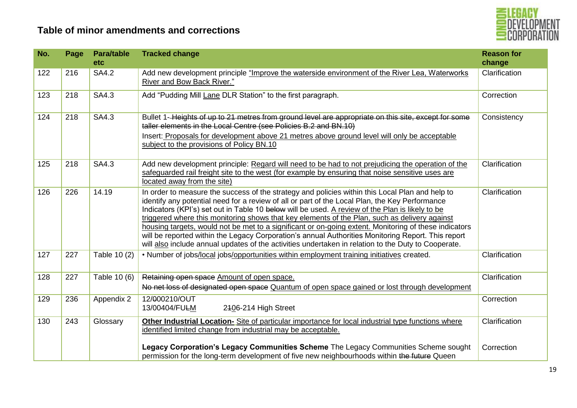

| No. | Page | <b>Para/table</b><br>etc | <b>Tracked change</b>                                                                                                                                                                                                                                                                                                                                                                                                                                                                                                                                                                                                                                                                                                       | <b>Reason for</b><br>change |
|-----|------|--------------------------|-----------------------------------------------------------------------------------------------------------------------------------------------------------------------------------------------------------------------------------------------------------------------------------------------------------------------------------------------------------------------------------------------------------------------------------------------------------------------------------------------------------------------------------------------------------------------------------------------------------------------------------------------------------------------------------------------------------------------------|-----------------------------|
| 122 | 216  | <b>SA4.2</b>             | Add new development principle "Improve the waterside environment of the River Lea, Waterworks<br>River and Bow Back River."                                                                                                                                                                                                                                                                                                                                                                                                                                                                                                                                                                                                 | Clarification               |
| 123 | 218  | SA4.3                    | Add "Pudding Mill Lane DLR Station" to the first paragraph.                                                                                                                                                                                                                                                                                                                                                                                                                                                                                                                                                                                                                                                                 | Correction                  |
| 124 | 218  | SA4.3                    | Bullet 1-Heights of up to 21 metres from ground level are appropriate on this site, except for some<br>taller elements in the Local Centre (see Policies B.2 and BN.10)<br>Insert: Proposals for development above 21 metres above ground level will only be acceptable<br>subject to the provisions of Policy BN.10                                                                                                                                                                                                                                                                                                                                                                                                        | Consistency                 |
| 125 | 218  | SA4.3                    | Add new development principle: Regard will need to be had to not prejudicing the operation of the<br>safequarded rail freight site to the west (for example by ensuring that noise sensitive uses are<br>located away from the site)                                                                                                                                                                                                                                                                                                                                                                                                                                                                                        | Clarification               |
| 126 | 226  | 14.19                    | In order to measure the success of the strategy and policies within this Local Plan and help to<br>identify any potential need for a review of all or part of the Local Plan, the Key Performance<br>Indicators (KPI's) set out in Table 10 below will be used. A review of the Plan is likely to be<br>triggered where this monitoring shows that key elements of the Plan, such as delivery against<br>housing targets, would not be met to a significant or on-going extent. Monitoring of these indicators<br>will be reported within the Legacy Corporation's annual Authorities Monitoring Report. This report<br>will also include annual updates of the activities undertaken in relation to the Duty to Cooperate. | Clarification               |
| 127 | 227  | Table 10 (2)             | . Number of jobs/local jobs/opportunities within employment training initiatives created.                                                                                                                                                                                                                                                                                                                                                                                                                                                                                                                                                                                                                                   | Clarification               |
| 128 | 227  | Table 10 (6)             | Retaining open space Amount of open space.<br>No net loss of designated open space Quantum of open space gained or lost through development                                                                                                                                                                                                                                                                                                                                                                                                                                                                                                                                                                                 | Clarification               |
| 129 | 236  | Appendix 2               | 12/000210/OUT<br>13/00404/FULM<br>2406-214 High Street                                                                                                                                                                                                                                                                                                                                                                                                                                                                                                                                                                                                                                                                      | Correction                  |
| 130 | 243  | Glossary                 | Other Industrial Location-Site of particular importance for local industrial type functions where<br>identified limited change from industrial may be acceptable.                                                                                                                                                                                                                                                                                                                                                                                                                                                                                                                                                           | Clarification               |
|     |      |                          | Legacy Corporation's Legacy Communities Scheme The Legacy Communities Scheme sought<br>permission for the long-term development of five new neighbourhoods within the future Queen                                                                                                                                                                                                                                                                                                                                                                                                                                                                                                                                          | Correction                  |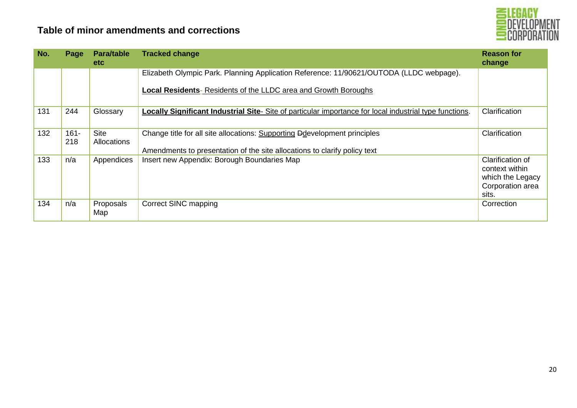

| No. | Page           | <b>Para/table</b><br>etc.  | <b>Tracked change</b>                                                                                                                                  | <b>Reason for</b><br>change                                                         |
|-----|----------------|----------------------------|--------------------------------------------------------------------------------------------------------------------------------------------------------|-------------------------------------------------------------------------------------|
|     |                |                            | Elizabeth Olympic Park. Planning Application Reference: 11/90621/OUTODA (LLDC webpage).                                                                |                                                                                     |
|     |                |                            | <b>Local Residents-</b> Residents of the LLDC area and Growth Boroughs                                                                                 |                                                                                     |
| 131 | 244            | Glossary                   | <b>Locally Significant Industrial Site-</b> Site of particular importance for local industrial type functions.                                         | Clarification                                                                       |
| 132 | $161 -$<br>218 | <b>Site</b><br>Allocations | Change title for all site allocations: Supporting Ddevelopment principles<br>Amendments to presentation of the site allocations to clarify policy text | Clarification                                                                       |
| 133 | n/a            | Appendices                 | Insert new Appendix: Borough Boundaries Map                                                                                                            | Clarification of<br>context within<br>which the Legacy<br>Corporation area<br>sits. |
| 134 | n/a            | Proposals<br>Map           | Correct SINC mapping                                                                                                                                   | Correction                                                                          |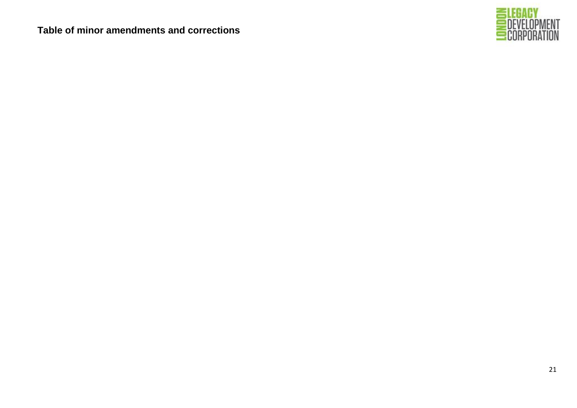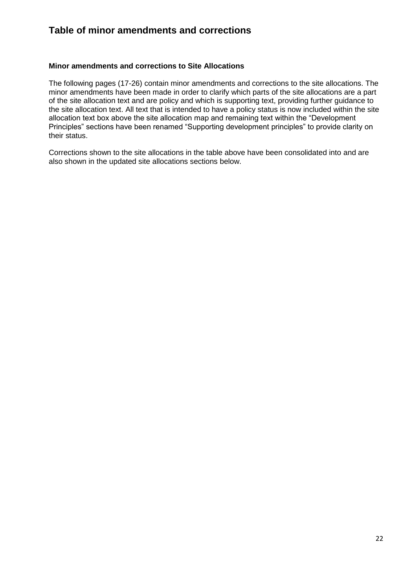#### **Minor amendments and corrections to Site Allocations**

The following pages (17-26) contain minor amendments and corrections to the site allocations. The minor amendments have been made in order to clarify which parts of the site allocations are a part of the site allocation text and are policy and which is supporting text, providing further guidance to the site allocation text. All text that is intended to have a policy status is now included within the site allocation text box above the site allocation map and remaining text within the "Development Principles" sections have been renamed "Supporting development principles" to provide clarity on their status.

Corrections shown to the site allocations in the table above have been consolidated into and are also shown in the updated site allocations sections below.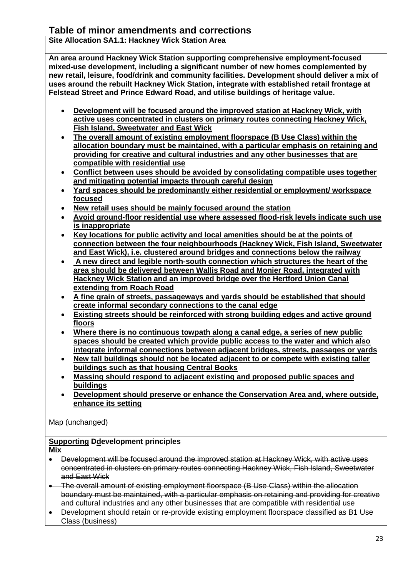**Site Allocation SA1.1: Hackney Wick Station Area**

**An area around Hackney Wick Station supporting comprehensive employment-focused mixed-use development, including a significant number of new homes complemented by new retail, leisure, food/drink and community facilities. Development should deliver a mix of uses around the rebuilt Hackney Wick Station, integrate with established retail frontage at Felstead Street and Prince Edward Road, and utilise buildings of heritage value.**

- **Development will be focused around the improved station at Hackney Wick, with active uses concentrated in clusters on primary routes connecting Hackney Wick, Fish Island, Sweetwater and East Wick**
- **The overall amount of existing employment floorspace (B Use Class) within the allocation boundary must be maintained, with a particular emphasis on retaining and providing for creative and cultural industries and any other businesses that are compatible with residential use**
- **Conflict between uses should be avoided by consolidating compatible uses together and mitigating potential impacts through careful design**
- **Yard spaces should be predominantly either residential or employment/ workspace focused**
- **New retail uses should be mainly focused around the station**
- **Avoid ground-floor residential use where assessed flood-risk levels indicate such use is inappropriate**
- **Key locations for public activity and local amenities should be at the points of connection between the four neighbourhoods (Hackney Wick, Fish Island, Sweetwater and East Wick), i.e. clustered around bridges and connections below the railway**
- **A new direct and legible north-south connection which structures the heart of the area should be delivered between Wallis Road and Monier Road, integrated with Hackney Wick Station and an improved bridge over the Hertford Union Canal extending from Roach Road**
- **A fine grain of streets, passageways and yards should be established that should create informal secondary connections to the canal edge**
- **Existing streets should be reinforced with strong building edges and active ground floors**
- **Where there is no continuous towpath along a canal edge, a series of new public spaces should be created which provide public access to the water and which also integrate informal connections between adjacent bridges, streets, passages or yards**
- **New tall buildings should not be located adjacent to or compete with existing taller buildings such as that housing Central Books**
- **Massing should respond to adjacent existing and proposed public spaces and buildings**
- **Development should preserve or enhance the Conservation Area and, where outside, enhance its setting**

# Map (unchanged)

# **Supporting Ddevelopment principles**

**Mix** 

- Development will be focused around the improved station at Hackney Wick, with active uses concentrated in clusters on primary routes connecting Hackney Wick, Fish Island, Sweetwater and East Wick
- The overall amount of existing employment floorspace (B Use Class) within the allocation boundary must be maintained, with a particular emphasis on retaining and providing for creative and cultural industries and any other businesses that are compatible with residential use
- Development should retain or re-provide existing employment floorspace classified as B1 Use Class (business)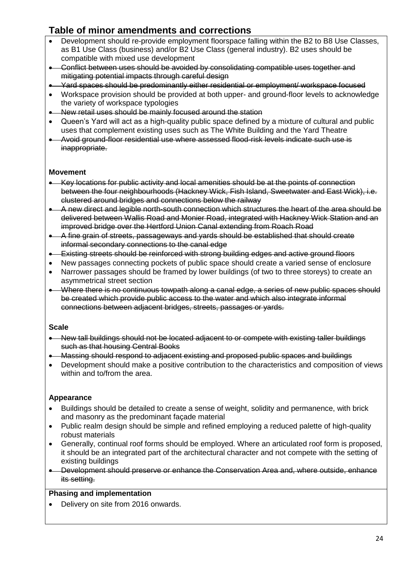- Development should re-provide employment floorspace falling within the B2 to B8 Use Classes, as B1 Use Class (business) and/or B2 Use Class (general industry). B2 uses should be compatible with mixed use development
- Conflict between uses should be avoided by consolidating compatible uses together and mitigating potential impacts through careful design
- Yard spaces should be predominantly either residential or employment/ workspace focused
- Workspace provision should be provided at both upper- and ground-floor levels to acknowledge the variety of workspace typologies
- New retail uses should be mainly focused around the station
- Queen's Yard will act as a high-quality public space defined by a mixture of cultural and public uses that complement existing uses such as The White Building and the Yard Theatre
- Avoid ground-floor residential use where assessed flood-risk levels indicate such use is inappropriate.

#### **Movement**

- Key locations for public activity and local amenities should be at the points of connection between the four neighbourhoods (Hackney Wick, Fish Island, Sweetwater and East Wick), i.e. clustered around bridges and connections below the railway
- A new direct and legible north-south connection which structures the heart of the area should be delivered between Wallis Road and Monier Road, integrated with Hackney Wick Station and an improved bridge over the Hertford Union Canal extending from Roach Road
- A fine grain of streets, passageways and yards should be established that should create informal secondary connections to the canal edge
- Existing streets should be reinforced with strong building edges and active ground floors
- New passages connecting pockets of public space should create a varied sense of enclosure
- Narrower passages should be framed by lower buildings (of two to three storeys) to create an asymmetrical street section
- Where there is no continuous towpath along a canal edge, a series of new public spaces should be created which provide public access to the water and which also integrate informal connections between adjacent bridges, streets, passages or yards.

#### **Scale**

- New tall buildings should not be located adjacent to or compete with existing taller buildings such as that housing Central Books
- Massing should respond to adjacent existing and proposed public spaces and buildings
- Development should make a positive contribution to the characteristics and composition of views within and to/from the area.

## **Appearance**

- Buildings should be detailed to create a sense of weight, solidity and permanence, with brick and masonry as the predominant façade material
- Public realm design should be simple and refined employing a reduced palette of high-quality robust materials
- Generally, continual roof forms should be employed. Where an articulated roof form is proposed, it should be an integrated part of the architectural character and not compete with the setting of existing buildings
- Development should preserve or enhance the Conservation Area and, where outside, enhance its setting.

## **Phasing and implementation**

• Delivery on site from 2016 onwards.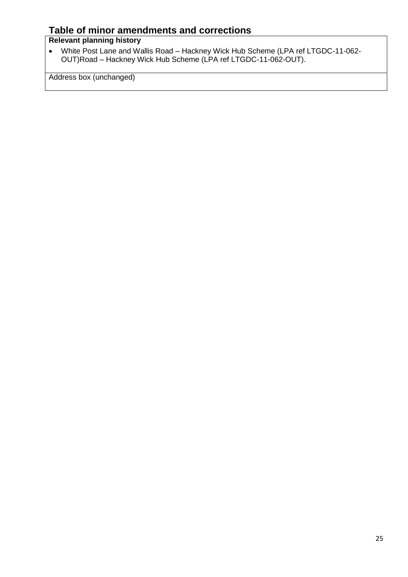# **Relevant planning history**

 White Post Lane and Wallis Road – Hackney Wick Hub Scheme (LPA ref LTGDC-11-062- OUT)Road – Hackney Wick Hub Scheme (LPA ref LTGDC-11-062-OUT).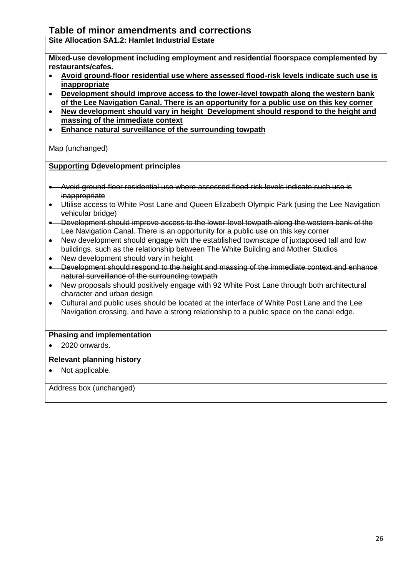**Site Allocation SA1.2: Hamlet Industrial Estate**

**Mixed-use development including employment and residential** fl**oorspace complemented by restaurants/cafes.**

- **Avoid ground-floor residential use where assessed flood-risk levels indicate such use is inappropriate**
- **Development should improve access to the lower-level towpath along the western bank of the Lee Navigation Canal. There is an opportunity for a public use on this key corner**
- **New development should vary in height Development should respond to the height and massing of the immediate context**
- **Enhance natural surveillance of the surrounding towpath**

Map (unchanged)

#### **Supporting Ddevelopment principles**

- Avoid ground-floor residential use where assessed flood-risk levels indicate such use is inappropriate
- Utilise access to White Post Lane and Queen Elizabeth Olympic Park (using the Lee Navigation vehicular bridge)
- Development should improve access to the lower-level towpath along the western bank of the Lee Navigation Canal. There is an opportunity for a public use on this key corner
- New development should engage with the established townscape of juxtaposed tall and low buildings, such as the relationship between The White Building and Mother Studios
- New development should vary in height
- Development should respond to the height and massing of the immediate context and enhance natural surveillance of the surrounding towpath
- New proposals should positively engage with 92 White Post Lane through both architectural character and urban design
- Cultural and public uses should be located at the interface of White Post Lane and the Lee Navigation crossing, and have a strong relationship to a public space on the canal edge.

#### **Phasing and implementation**

2020 onwards.

## **Relevant planning history**

Not applicable.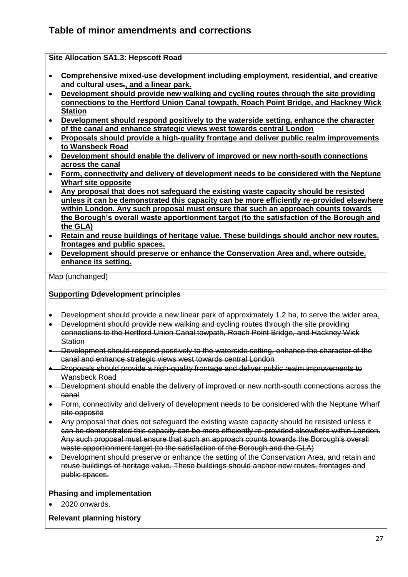|           | <b>Site Allocation SA1.3: Hepscott Road</b>                                               |
|-----------|-------------------------------------------------------------------------------------------|
| $\bullet$ | Comprehensive mixed-use development including employment, residential, and creative       |
|           | and cultural uses-, and a linear park.                                                    |
| $\bullet$ | Development should provide new walking and cycling routes through the site providing      |
|           | connections to the Hertford Union Canal towpath, Roach Point Bridge, and Hackney Wick     |
|           | <b>Station</b>                                                                            |
| $\bullet$ | Development should respond positively to the waterside setting, enhance the character     |
|           | of the canal and enhance strategic views west towards central London                      |
| $\bullet$ | Proposals should provide a high-quality frontage and deliver public realm improvements    |
|           | to Wansbeck Road                                                                          |
| $\bullet$ | Development should enable the delivery of improved or new north-south connections         |
|           | across the canal                                                                          |
| $\bullet$ | Form, connectivity and delivery of development needs to be considered with the Neptune    |
|           | <b>Wharf site opposite</b>                                                                |
| $\bullet$ | Any proposal that does not safeguard the existing waste capacity should be resisted       |
|           | unless it can be demonstrated this capacity can be more efficiently re-provided elsewhere |
|           | within London. Any such proposal must ensure that such an approach counts towards         |
|           | the Borough's overall waste apportionment target (to the satisfaction of the Borough and  |
|           | the GLA)                                                                                  |
| $\bullet$ | Retain and reuse buildings of heritage value. These buildings should anchor new routes,   |
|           | frontages and public spaces.                                                              |
| $\bullet$ | Development should preserve or enhance the Conservation Area and, where outside,          |
|           | enhance its setting.                                                                      |
|           |                                                                                           |

Map (unchanged)

#### **Supporting Ddevelopment principles**

- Development should provide a new linear park of approximately 1.2 ha, to serve the wider area.
- Development should provide new walking and cycling routes through the site providing connections to the Hertford Union Canal towpath, Roach Point Bridge, and Hackney Wick **Station**
- Development should respond positively to the waterside setting, enhance the character of the canal and enhance strategic views west towards central London
- Proposals should provide a high-quality frontage and deliver public realm improvements to Wansbeck Road
- Development should enable the delivery of improved or new north-south connections across the canal
- Form, connectivity and delivery of development needs to be considered with the Neptune Wharf site opposite
- Any proposal that does not safeguard the existing waste capacity should be resisted unless it can be demonstrated this capacity can be more efficiently re-provided elsewhere within London. Any such proposal must ensure that such an approach counts towards the Borough's overall waste apportionment target (to the satisfaction of the Borough and the GLA)
- **Development should preserve or enhance the setting of the Conservation Area, and retain and** reuse buildings of heritage value. These buildings should anchor new routes, frontages and public spaces.

#### **Phasing and implementation**

2020 onwards.

#### **Relevant planning history**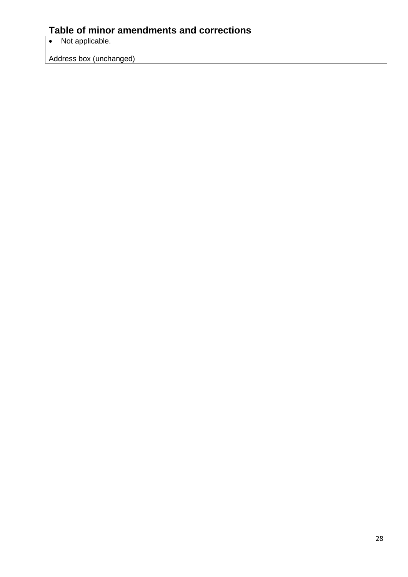• Not applicable.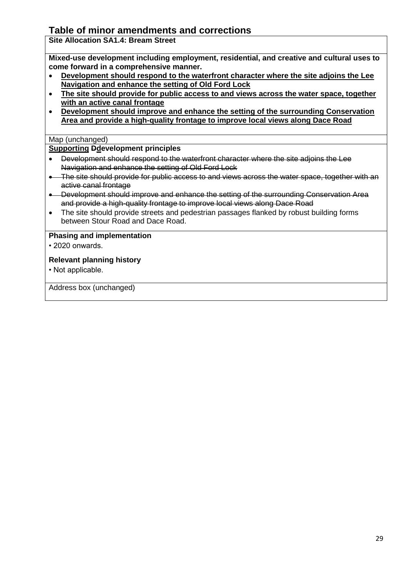**Site Allocation SA1.4: Bream Street**

**Mixed-use development including employment, residential, and creative and cultural uses to come forward in a comprehensive manner.**

- **Development should respond to the waterfront character where the site adjoins the Lee Navigation and enhance the setting of Old Ford Lock**
- **The site should provide for public access to and views across the water space, together with an active canal frontage**
- **Development should improve and enhance the setting of the surrounding Conservation Area and provide a high-quality frontage to improve local views along Dace Road**

### Map (unchanged)

## **Supporting Ddevelopment principles**

- Development should respond to the waterfront character where the site adjoins the Lee Navigation and enhance the setting of Old Ford Lock
- The site should provide for public access to and views across the water space, together with an active canal frontage
- Development should improve and enhance the setting of the surrounding Conservation Area and provide a high-quality frontage to improve local views along Dace Road
- The site should provide streets and pedestrian passages flanked by robust building forms between Stour Road and Dace Road.

#### **Phasing and implementation**

• 2020 onwards.

## **Relevant planning history**

• Not applicable.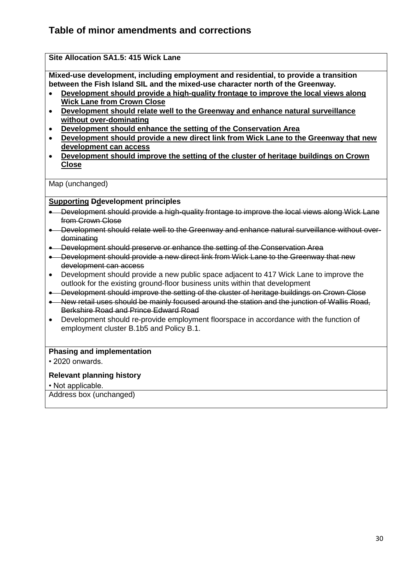## **Site Allocation SA1.5: 415 Wick Lane**

**Mixed-use development, including employment and residential, to provide a transition between the Fish Island SIL and the mixed-use character north of the Greenway.** 

- **Development should provide a high-quality frontage to improve the local views along Wick Lane from Crown Close**
- **Development should relate well to the Greenway and enhance natural surveillance without over-dominating**
- **Development should enhance the setting of the Conservation Area**
- **Development should provide a new direct link from Wick Lane to the Greenway that new development can access**
- **Development should improve the setting of the cluster of heritage buildings on Crown Close**

Map (unchanged)

#### **Supporting Ddevelopment principles**

- Development should provide a high-quality frontage to improve the local views along Wick Lane from Crown Close
- Development should relate well to the Greenway and enhance natural surveillance without overdominating
- **.** Development should preserve or enhance the setting of the Conservation Area
- Development should provide a new direct link from Wick Lane to the Greenway that new development can access
- Development should provide a new public space adjacent to 417 Wick Lane to improve the outlook for the existing ground-floor business units within that development
- Development should improve the setting of the cluster of heritage buildings on Crown Close
- New retail uses should be mainly focused around the station and the junction of Wallis Road, Berkshire Road and Prince Edward Road
- Development should re-provide employment floorspace in accordance with the function of employment cluster B.1b5 and Policy B.1.

#### **Phasing and implementation**

• 2020 onwards.

#### **Relevant planning history**

• Not applicable.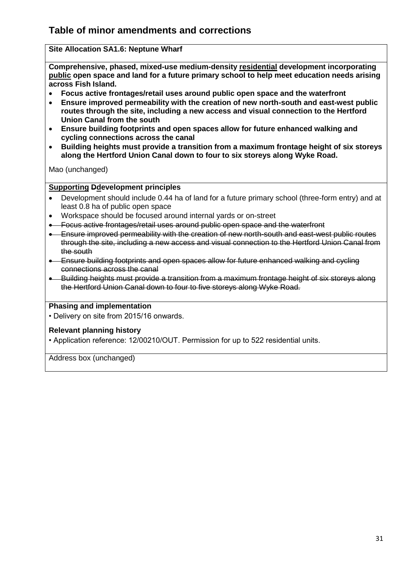## **Site Allocation SA1.6: Neptune Wharf**

**Comprehensive, phased, mixed-use medium-density residential development incorporating public open space and land for a future primary school to help meet education needs arising across Fish Island.**

- **Focus active frontages/retail uses around public open space and the waterfront**
- **Ensure improved permeability with the creation of new north-south and east-west public routes through the site, including a new access and visual connection to the Hertford Union Canal from the south**
- **Ensure building footprints and open spaces allow for future enhanced walking and cycling connections across the canal**
- **Building heights must provide a transition from a maximum frontage height of six storeys along the Hertford Union Canal down to four to six storeys along Wyke Road.**

Mao (unchanged)

#### **Supporting Ddevelopment principles**

- Development should include 0.44 ha of land for a future primary school (three-form entry) and at least 0.8 ha of public open space
- Workspace should be focused around internal yards or on-street
- Focus active frontages/retail uses around public open space and the waterfront
- **Ensure improved permeability with the creation of new north-south and east-west public routes** through the site, including a new access and visual connection to the Hertford Union Canal from the south
- Ensure building footprints and open spaces allow for future enhanced walking and cycling connections across the canal
- Building heights must provide a transition from a maximum frontage height of six storeys along the Hertford Union Canal down to four to five storeys along Wyke Road.

#### **Phasing and implementation**

• Delivery on site from 2015/16 onwards.

#### **Relevant planning history**

• Application reference: 12/00210/OUT. Permission for up to 522 residential units.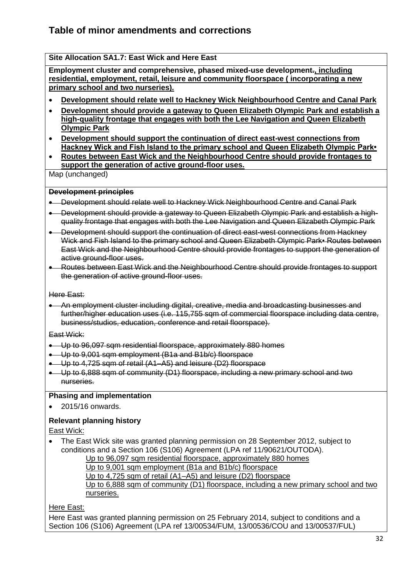### **Site Allocation SA1.7: East Wick and Here East**

**Employment cluster and comprehensive, phased mixed-use development., including residential, employment, retail, leisure and community floorspace ( incorporating a new primary school and two nurseries).** 

- **Development should relate well to Hackney Wick Neighbourhood Centre and Canal Park**
- **Development should provide a gateway to Queen Elizabeth Olympic Park and establish a high-quality frontage that engages with both the Lee Navigation and Queen Elizabeth Olympic Park**
- **Development should support the continuation of direct east-west connections from Hackney Wick and Fish Island to the primary school and Queen Elizabeth Olympic Park•**
- **Routes between East Wick and the Neighbourhood Centre should provide frontages to support the generation of active ground-floor uses.**

Map (unchanged)

#### **Development principles**

- Development should relate well to Hackney Wick Neighbourhood Centre and Canal Park
- Development should provide a gateway to Queen Elizabeth Olympic Park and establish a highquality frontage that engages with both the Lee Navigation and Queen Elizabeth Olympic Park
- Development should support the continuation of direct east-west connections from Hackney Wick and Fish Island to the primary school and Queen Elizabeth Olympic Park• Routes between East Wick and the Neighbourhood Centre should provide frontages to support the generation of active ground-floor uses.
- Routes between East Wick and the Neighbourhood Centre should provide frontages to support the generation of active ground-floor uses.

Here East:

 An employment cluster including digital, creative, media and broadcasting businesses and further/higher education uses (i.e. 115,755 sqm of commercial floorspace including data centre, business/studios, education, conference and retail floorspace).

East Wick:

- Up to 96,097 sqm residential floorspace, approximately 880 homes
- Up to 9,001 sqm employment (B1a and B1b/c) floorspace
- Up to 4,725 sqm of retail (A1–A5) and leisure (D2) floorspace
- Up to 6,888 sqm of community (D1) floorspace, including a new primary school and two nurseries.

#### **Phasing and implementation**

2015/16 onwards.

## **Relevant planning history**

#### East Wick:

 The East Wick site was granted planning permission on 28 September 2012, subject to conditions and a Section 106 (S106) Agreement (LPA ref 11/90621/OUTODA). Up to 96,097 sqm residential floorspace, approximately 880 homes Up to 9,001 sqm employment (B1a and B1b/c) floorspace Up to 4,725 sqm of retail (A1–A5) and leisure (D2) floorspace Up to 6,888 sqm of community (D1) floorspace, including a new primary school and two nurseries.

Here East:

Here East was granted planning permission on 25 February 2014, subject to conditions and a Section 106 (S106) Agreement (LPA ref 13/00534/FUM, 13/00536/COU and 13/00537/FUL)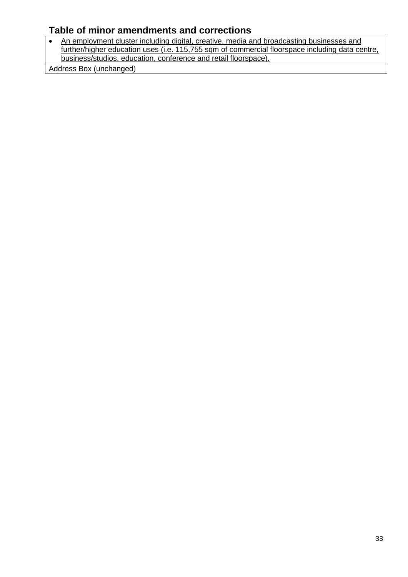• An employment cluster including digital, creative, media and broadcasting businesses and further/higher education uses (i.e. 115,755 sqm of commercial floorspace including data centre, business/studios, education, conference and retail floorspace).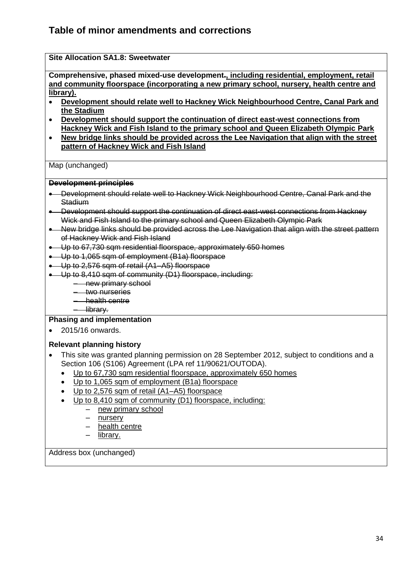| <b>Site Allocation SA1.8: Sweetwater</b>                                                                                                                                                                  |  |  |  |  |
|-----------------------------------------------------------------------------------------------------------------------------------------------------------------------------------------------------------|--|--|--|--|
| Comprehensive, phased mixed-use development <sub><sup>1</sup></sub> including residential, employment, retail<br>and community floorspace (incorporating a new primary school, nursery, health centre and |  |  |  |  |
| library).                                                                                                                                                                                                 |  |  |  |  |
| Development should relate well to Hackney Wick Neighbourhood Centre, Canal Park and                                                                                                                       |  |  |  |  |
| the Stadium                                                                                                                                                                                               |  |  |  |  |
| Development should support the continuation of direct east-west connections from<br>$\bullet$                                                                                                             |  |  |  |  |
| Hackney Wick and Fish Island to the primary school and Queen Elizabeth Olympic Park                                                                                                                       |  |  |  |  |
| <u>New bridge links should be provided across the Lee Navigation that align with the street</u><br>$\bullet$<br>pattern of Hackney Wick and Fish Island                                                   |  |  |  |  |
|                                                                                                                                                                                                           |  |  |  |  |
| Map (unchanged)                                                                                                                                                                                           |  |  |  |  |
| <b>Development principles</b>                                                                                                                                                                             |  |  |  |  |
| • Development should relate well to Hackney Wick Neighbourhood Centre, Canal Park and the<br>Stadium                                                                                                      |  |  |  |  |
| • Development should support the continuation of direct east-west connections from Hackney<br>Wick and Fish Island to the primary school and Queen Elizabeth Olympic Park                                 |  |  |  |  |
| • New bridge links should be provided across the Lee Navigation that align with the street pattern<br>of Hackney Wick and Fish Island                                                                     |  |  |  |  |
| • Up to 67,730 sqm residential floorspace, approximately 650 homes                                                                                                                                        |  |  |  |  |
| • Up to 1,065 sqm of employment (B1a) floorspace                                                                                                                                                          |  |  |  |  |
| • Up to 2,576 sqm of retail (A1-A5) floorspace                                                                                                                                                            |  |  |  |  |
| • Up to 8,410 sqm of community (D1) floorspace, including:                                                                                                                                                |  |  |  |  |
| - new primary school                                                                                                                                                                                      |  |  |  |  |
| - two nurseries                                                                                                                                                                                           |  |  |  |  |
| - health centre                                                                                                                                                                                           |  |  |  |  |
| - library.                                                                                                                                                                                                |  |  |  |  |
| <b>Phasing and implementation</b>                                                                                                                                                                         |  |  |  |  |
| 2015/16 onwards.                                                                                                                                                                                          |  |  |  |  |
| <b>Relevant planning history</b>                                                                                                                                                                          |  |  |  |  |
| This site was granted planning permission on 28 September 2012, subject to conditions and a                                                                                                               |  |  |  |  |
| Section 106 (S106) Agreement (LPA ref 11/90621/OUTODA).                                                                                                                                                   |  |  |  |  |
| Up to 67,730 sqm residential floorspace, approximately 650 homes                                                                                                                                          |  |  |  |  |
| Up to 1,065 sqm of employment (B1a) floorspace                                                                                                                                                            |  |  |  |  |
| Up to 2,576 sqm of retail (A1-A5) floorspace                                                                                                                                                              |  |  |  |  |
| Up to 8,410 sqm of community (D1) floorspace, including:                                                                                                                                                  |  |  |  |  |
| new primary school                                                                                                                                                                                        |  |  |  |  |
| nursery                                                                                                                                                                                                   |  |  |  |  |
| health centre                                                                                                                                                                                             |  |  |  |  |
| library.                                                                                                                                                                                                  |  |  |  |  |
| Address box (unchanged)                                                                                                                                                                                   |  |  |  |  |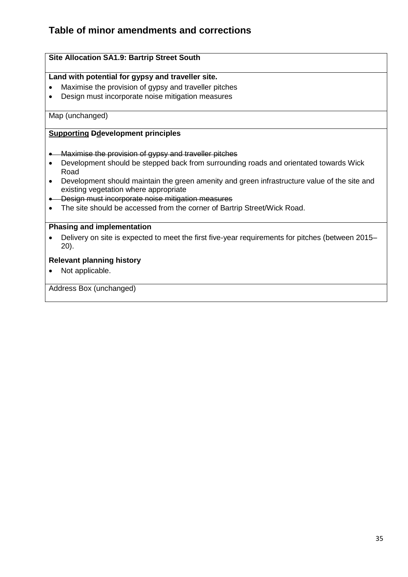## **Site Allocation SA1.9: Bartrip Street South**

#### **Land with potential for gypsy and traveller site.**

- Maximise the provision of gypsy and traveller pitches
- Design must incorporate noise mitigation measures

#### Map (unchanged)

### **Supporting Ddevelopment principles**

- Maximise the provision of gypsy and traveller pitches
- Development should be stepped back from surrounding roads and orientated towards Wick Road
- Development should maintain the green amenity and green infrastructure value of the site and existing vegetation where appropriate
- **.** Design must incorporate noise mitigation measures
- The site should be accessed from the corner of Bartrip Street/Wick Road.

#### **Phasing and implementation**

 Delivery on site is expected to meet the first five-year requirements for pitches (between 2015– 20).

#### **Relevant planning history**

• Not applicable.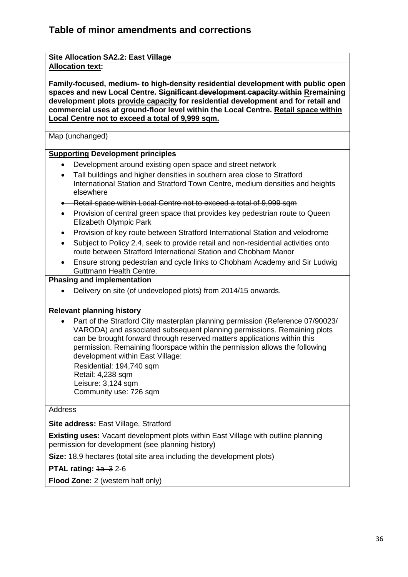#### **Site Allocation SA2.2: East Village Allocation text:**

**Family-focused, medium- to high-density residential development with public open spaces and new Local Centre. Significant development capacity within Rremaining development plots provide capacity for residential development and for retail and commercial uses at ground-floor level within the Local Centre. Retail space within Local Centre not to exceed a total of 9,999 sqm.**

Map (unchanged)

## **Supporting Development principles**

- Development around existing open space and street network
- Tall buildings and higher densities in southern area close to Stratford International Station and Stratford Town Centre, medium densities and heights elsewhere
- **-** Retail space within Local Centre not to exceed a total of 9,999 sqm
- Provision of central green space that provides key pedestrian route to Queen Elizabeth Olympic Park
- Provision of key route between Stratford International Station and velodrome
- Subject to Policy 2.4, seek to provide retail and non-residential activities onto route between Stratford International Station and Chobham Manor
- Ensure strong pedestrian and cycle links to Chobham Academy and Sir Ludwig Guttmann Health Centre.

## **Phasing and implementation**

Delivery on site (of undeveloped plots) from 2014/15 onwards.

# **Relevant planning history**

 Part of the Stratford City masterplan planning permission (Reference 07/90023/ VARODA) and associated subsequent planning permissions. Remaining plots can be brought forward through reserved matters applications within this permission. Remaining floorspace within the permission allows the following development within East Village:

 Residential: 194,740 sqm Retail: 4,238 sqm Leisure: 3,124 sqm Community use: 726 sqm

## **Address**

**Site address: East Village, Stratford** 

**Existing uses:** Vacant development plots within East Village with outline planning permission for development (see planning history)

**Size:** 18.9 hectares (total site area including the development plots)

**PTAL rating:**  $1a-3$  **2-6** 

**Flood Zone:** 2 (western half only)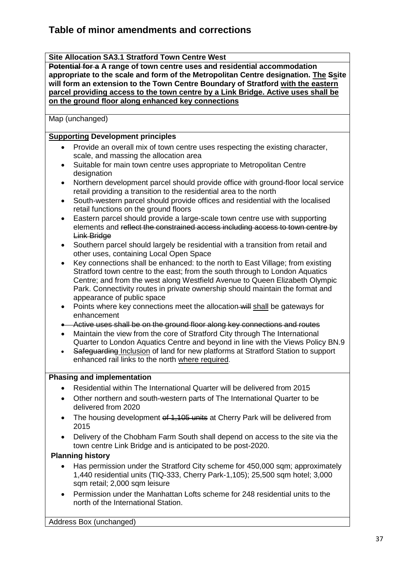### **Site Allocation SA3.1 Stratford Town Centre West**

**Potential for a A range of town centre uses and residential accommodation appropriate to the scale and form of the Metropolitan Centre designation. The Ssite will form an extension to the Town Centre Boundary of Stratford with the eastern parcel providing access to the town centre by a Link Bridge. Active uses shall be on the ground floor along enhanced key connections**

Map (unchanged)

## **Supporting Development principles**

- Provide an overall mix of town centre uses respecting the existing character, scale, and massing the allocation area
- Suitable for main town centre uses appropriate to Metropolitan Centre designation
- Northern development parcel should provide office with ground-floor local service retail providing a transition to the residential area to the north
- South-western parcel should provide offices and residential with the localised retail functions on the ground floors
- Eastern parcel should provide a large-scale town centre use with supporting elements and reflect the constrained access including access to town centre by Link Bridge
- Southern parcel should largely be residential with a transition from retail and other uses, containing Local Open Space
- Key connections shall be enhanced: to the north to East Village; from existing Stratford town centre to the east; from the south through to London Aquatics Centre; and from the west along Westfield Avenue to Queen Elizabeth Olympic Park. Connectivity routes in private ownership should maintain the format and appearance of public space
- Points where key connections meet the allocation will shall be gateways for enhancement
- Active uses shall be on the ground floor along key connections and routes
- Maintain the view from the core of Stratford City through The International Quarter to London Aquatics Centre and beyond in line with the Views Policy BN.9
- Safeguarding Inclusion of land for new platforms at Stratford Station to support enhanced rail links to the north where required.

## **Phasing and implementation**

- Residential within The International Quarter will be delivered from 2015
- Other northern and south-western parts of The International Quarter to be delivered from 2020
- The housing development of 1,105 units at Cherry Park will be delivered from 2015
- Delivery of the Chobham Farm South shall depend on access to the site via the town centre Link Bridge and is anticipated to be post-2020.

#### **Planning history**

- Has permission under the Stratford City scheme for 450,000 sqm; approximately 1,440 residential units (TIQ-333, Cherry Park-1,105); 25,500 sqm hotel; 3,000 sqm retail; 2,000 sqm leisure
- Permission under the Manhattan Lofts scheme for 248 residential units to the north of the International Station.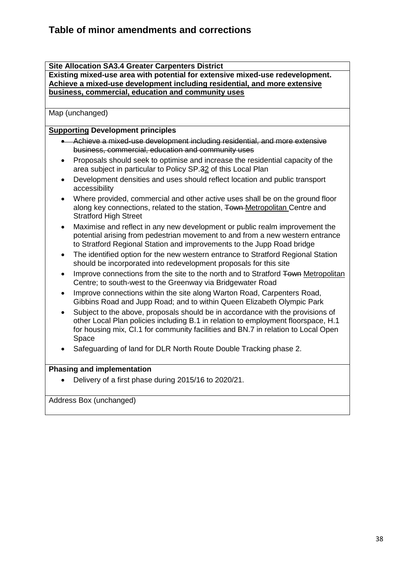#### **Site Allocation SA3.4 Greater Carpenters District**

**Existing mixed-use area with potential for extensive mixed-use redevelopment. Achieve a mixed-use development including residential, and more extensive business, commercial, education and community uses**

Map (unchanged)

### **Supporting Development principles**

- Achieve a mixed-use development including residential, and more extensive business, commercial, education and community uses
- Proposals should seek to optimise and increase the residential capacity of the area subject in particular to Policy SP.32 of this Local Plan
- Development densities and uses should reflect location and public transport accessibility
- Where provided, commercial and other active uses shall be on the ground floor along key connections, related to the station, Town-Metropolitan Centre and Stratford High Street
- Maximise and reflect in any new development or public realm improvement the potential arising from pedestrian movement to and from a new western entrance to Stratford Regional Station and improvements to the Jupp Road bridge
- The identified option for the new western entrance to Stratford Regional Station should be incorporated into redevelopment proposals for this site
- Improve connections from the site to the north and to Stratford Town Metropolitan Centre; to south-west to the Greenway via Bridgewater Road
- Improve connections within the site along Warton Road, Carpenters Road, Gibbins Road and Jupp Road; and to within Queen Elizabeth Olympic Park
- Subject to the above, proposals should be in accordance with the provisions of other Local Plan policies including B.1 in relation to employment floorspace, H.1 for housing mix, CI.1 for community facilities and BN.7 in relation to Local Open Space
- Safeguarding of land for DLR North Route Double Tracking phase 2.

## **Phasing and implementation**

Delivery of a first phase during 2015/16 to 2020/21.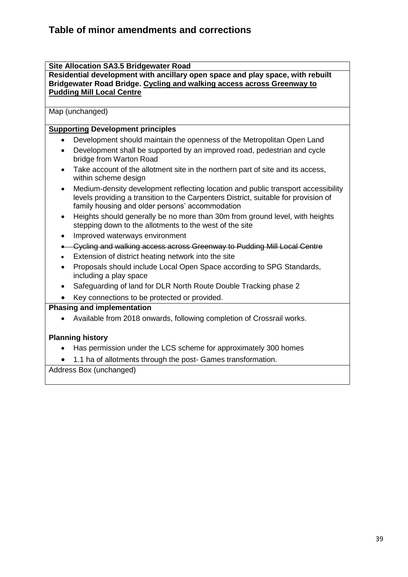#### **Site Allocation SA3.5 Bridgewater Road**

**Residential development with ancillary open space and play space, with rebuilt Bridgewater Road Bridge. Cycling and walking access across Greenway to Pudding Mill Local Centre**

## Map (unchanged)

## **Supporting Development principles**

- Development should maintain the openness of the Metropolitan Open Land
- Development shall be supported by an improved road, pedestrian and cycle bridge from Warton Road
- Take account of the allotment site in the northern part of site and its access, within scheme design
- Medium-density development reflecting location and public transport accessibility levels providing a transition to the Carpenters District, suitable for provision of family housing and older persons' accommodation
- Heights should generally be no more than 30m from ground level, with heights stepping down to the allotments to the west of the site
- Improved waterways environment
- Cycling and walking access across Greenway to Pudding Mill Local Centre
- Extension of district heating network into the site
- Proposals should include Local Open Space according to SPG Standards, including a play space
- Safeguarding of land for DLR North Route Double Tracking phase 2
- Key connections to be protected or provided.

#### **Phasing and implementation**

Available from 2018 onwards, following completion of Crossrail works.

## **Planning history**

- Has permission under the LCS scheme for approximately 300 homes
- 1.1 ha of allotments through the post- Games transformation.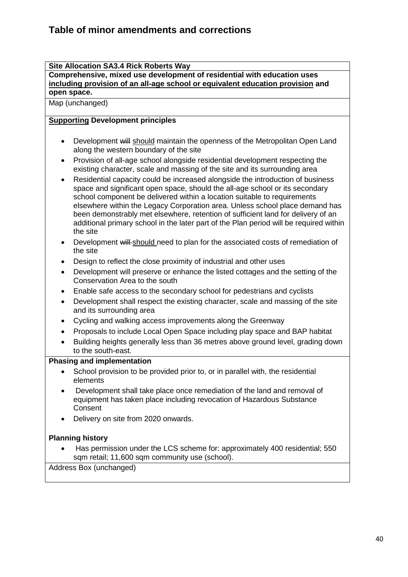**Site Allocation SA3.4 Rick Roberts Way**

**Comprehensive, mixed use development of residential with education uses including provision of an all-age school or equivalent education provision and open space.**

Map (unchanged)

## **Supporting Development principles**

- Development will should maintain the openness of the Metropolitan Open Land along the western boundary of the site
- Provision of all-age school alongside residential development respecting the existing character, scale and massing of the site and its surrounding area
- Residential capacity could be increased alongside the introduction of business space and significant open space, should the all-age school or its secondary school component be delivered within a location suitable to requirements elsewhere within the Legacy Corporation area. Unless school place demand has been demonstrably met elsewhere, retention of sufficient land for delivery of an additional primary school in the later part of the Plan period will be required within the site
- Development will should need to plan for the associated costs of remediation of the site
- Design to reflect the close proximity of industrial and other uses
- Development will preserve or enhance the listed cottages and the setting of the Conservation Area to the south
- Enable safe access to the secondary school for pedestrians and cyclists
- Development shall respect the existing character, scale and massing of the site and its surrounding area
- Cycling and walking access improvements along the Greenway
- Proposals to include Local Open Space including play space and BAP habitat
- Building heights generally less than 36 metres above ground level, grading down to the south-east.

## **Phasing and implementation**

- School provision to be provided prior to, or in parallel with, the residential elements
- Development shall take place once remediation of the land and removal of equipment has taken place including revocation of Hazardous Substance Consent
- Delivery on site from 2020 onwards.

# **Planning history**

 Has permission under the LCS scheme for: approximately 400 residential; 550 sqm retail; 11,600 sqm community use (school).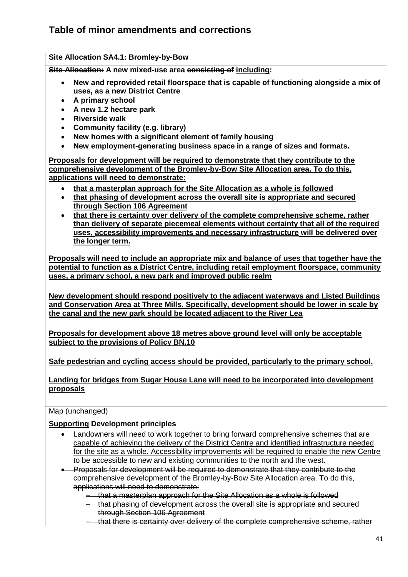**Site Allocation SA4.1: Bromley-by-Bow Site Allocation: A new mixed-use area consisting of including:**

- **New and reprovided retail floorspace that is capable of functioning alongside a mix of uses, as a new District Centre**
- **A primary school**
- **A new 1.2 hectare park**
- **Riverside walk**
- **Community facility (e.g. library)**
- **New homes with a significant element of family housing**
- **New employment-generating business space in a range of sizes and formats.**

**Proposals for development will be required to demonstrate that they contribute to the comprehensive development of the Bromley-by-Bow Site Allocation area. To do this, applications will need to demonstrate:** 

- **that a masterplan approach for the Site Allocation as a whole is followed**
- **that phasing of development across the overall site is appropriate and secured through Section 106 Agreement**
- **that there is certainty over delivery of the complete comprehensive scheme, rather than delivery of separate piecemeal elements without certainty that all of the required uses, accessibility improvements and necessary infrastructure will be delivered over the longer term.**

**Proposals will need to include an appropriate mix and balance of uses that together have the potential to function as a District Centre, including retail employment floorspace, community uses, a primary school, a new park and improved public realm** 

**New development should respond positively to the adjacent waterways and Listed Buildings and Conservation Area at Three Mills. Specifically, development should be lower in scale by the canal and the new park should be located adjacent to the River Lea** 

**Proposals for development above 18 metres above ground level will only be acceptable subject to the provisions of Policy BN.10**

**Safe pedestrian and cycling access should be provided, particularly to the primary school.**

**Landing for bridges from Sugar House Lane will need to be incorporated into development proposals** 

Map (unchanged)

#### **Supporting Development principles**

- Landowners will need to work together to bring forward comprehensive schemes that are capable of achieving the delivery of the District Centre and identified infrastructure needed for the site as a whole. Accessibility improvements will be required to enable the new Centre to be accessible to new and existing communities to the north and the west.
- Proposals for development will be required to demonstrate that they contribute to the comprehensive development of the Bromley-by-Bow Site Allocation area. To do this, applications will need to demonstrate:
	- that a masterplan approach for the Site Allocation as a whole is followed
	- that phasing of development across the overall site is appropriate and secured through Section 106 Agreement
	- that there is certainty over delivery of the complete comprehensive scheme, rather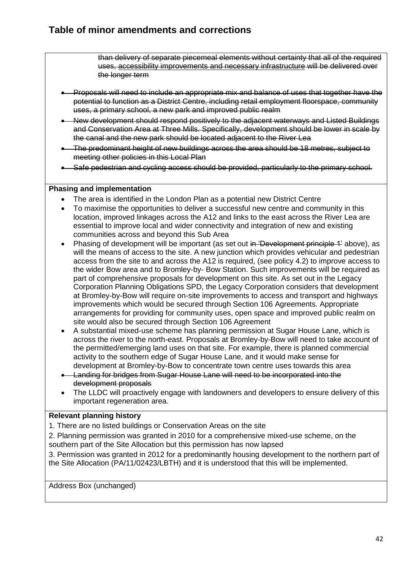than delivery of separate piecemeal elements without certainty that all of the required uses, accessibility improvements and necessary infrastructure will be delivered over the longer term

- Proposals will need to include an appropriate mix and balance of uses that together have the potential to function as a District Centre, including retail employment floorspace, community uses, a primary school, a new park and improved public realm
- New development should respond positively to the adjacent waterways and Listed Buildings and Conservation Area at Three Mills. Specifically, development should be lower in scale by the canal and the new park should be located adjacent to the River Lea
- The predominant height of new buildings across the area should be 18 metres, subject to meeting other policies in this Local Plan
- Safe pedestrian and cycling access should be provided, particularly to the primary school.

#### **Phasing and implementation**

- The area is identified in the London Plan as a potential new District Centre
- To maximise the opportunities to deliver a successful new centre and community in this location, improved linkages across the A12 and links to the east across the River Lea are essential to improve local and wider connectivity and integration of new and existing communities across and beyond this Sub Area
- Phasing of development will be important (as set out in 'Development principle 1' above), as will the means of access to the site. A new junction which provides vehicular and pedestrian access from the site to and across the A12 is required, (see policy 4.2) to improve access to the wider Bow area and to Bromley-by- Bow Station. Such improvements will be required as part of comprehensive proposals for development on this site. As set out in the Legacy Corporation Planning Obligations SPD, the Legacy Corporation considers that development at Bromley-by-Bow will require on-site improvements to access and transport and highways improvements which would be secured through Section 106 Agreements. Appropriate arrangements for providing for community uses, open space and improved public realm on site would also be secured through Section 106 Agreement
- A substantial mixed-use scheme has planning permission at Sugar House Lane, which is across the river to the north-east. Proposals at Bromley-by-Bow will need to take account of the permitted/emerging land uses on that site. For example, there is planned commercial activity to the southern edge of Sugar House Lane, and it would make sense for development at Bromley-by-Bow to concentrate town centre uses towards this area
- Landing for bridges from Sugar House Lane will need to be incorporated into the development proposals
- The LLDC will proactively engage with landowners and developers to ensure delivery of this important regeneration area.

## **Relevant planning history**

1. There are no listed buildings or Conservation Areas on the site

2. Planning permission was granted in 2010 for a comprehensive mixed-use scheme, on the southern part of the Site Allocation but this permission has now lapsed

3. Permission was granted in 2012 for a predominantly housing development to the northern part of the Site Allocation (PA/11/02423/LBTH) and it is understood that this will be implemented.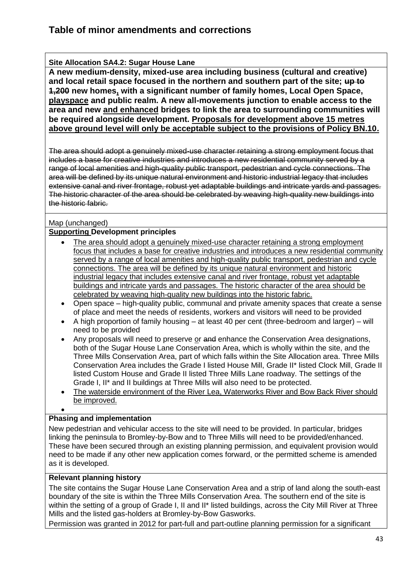## **Site Allocation SA4.2: Sugar House Lane**

**A new medium-density, mixed-use area including business (cultural and creative) and local retail space focused in the northern and southern part of the site; up to 1,200 new homes, with a significant number of family homes, Local Open Space, playspace and public realm. A new all-movements junction to enable access to the area and new and enhanced bridges to link the area to surrounding communities will be required alongside development. Proposals for development above 15 metres above ground level will only be acceptable subject to the provisions of Policy BN.10.**

The area should adopt a genuinely mixed-use character retaining a strong employment focus that includes a base for creative industries and introduces a new residential community served by a range of local amenities and high-quality public transport, pedestrian and cycle connections. The area will be defined by its unique natural environment and historic industrial legacy that includes extensive canal and river frontage, robust yet adaptable buildings and intricate yards and passages. The historic character of the area should be celebrated by weaving high-quality new buildings into the historic fabric.

## Map (unchanged)

## **Supporting Development principles**

- The area should adopt a genuinely mixed-use character retaining a strong employment focus that includes a base for creative industries and introduces a new residential community served by a range of local amenities and high-quality public transport, pedestrian and cycle connections. The area will be defined by its unique natural environment and historic industrial legacy that includes extensive canal and river frontage, robust yet adaptable buildings and intricate yards and passages. The historic character of the area should be celebrated by weaving high-quality new buildings into the historic fabric.
- Open space high-quality public, communal and private amenity spaces that create a sense of place and meet the needs of residents, workers and visitors will need to be provided
- A high proportion of family housing at least 40 per cent (three-bedroom and larger) will need to be provided
- Any proposals will need to preserve or and enhance the Conservation Area designations, both of the Sugar House Lane Conservation Area, which is wholly within the site, and the Three Mills Conservation Area, part of which falls within the Site Allocation area. Three Mills Conservation Area includes the Grade I listed House Mill, Grade II\* listed Clock Mill, Grade II listed Custom House and Grade II listed Three Mills Lane roadway. The settings of the Grade I, II\* and II buildings at Three Mills will also need to be protected.
- The waterside environment of the River Lea, Waterworks River and Bow Back River should be improved.

## **Phasing and implementation**

 $\bullet$ 

New pedestrian and vehicular access to the site will need to be provided. In particular, bridges linking the peninsula to Bromley-by-Bow and to Three Mills will need to be provided/enhanced. These have been secured through an existing planning permission, and equivalent provision would need to be made if any other new application comes forward, or the permitted scheme is amended as it is developed.

## **Relevant planning history**

The site contains the Sugar House Lane Conservation Area and a strip of land along the south-east boundary of the site is within the Three Mills Conservation Area. The southern end of the site is within the setting of a group of Grade I, II and II\* listed buildings, across the City Mill River at Three Mills and the listed gas-holders at Bromley-by-Bow Gasworks.

Permission was granted in 2012 for part-full and part-outline planning permission for a significant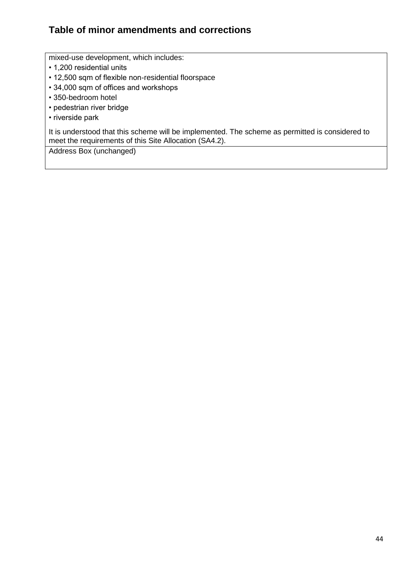mixed-use development, which includes:

- 1,200 residential units
- 12,500 sqm of flexible non-residential floorspace
- 34,000 sqm of offices and workshops
- 350-bedroom hotel
- pedestrian river bridge
- riverside park

It is understood that this scheme will be implemented. The scheme as permitted is considered to meet the requirements of this Site Allocation (SA4.2).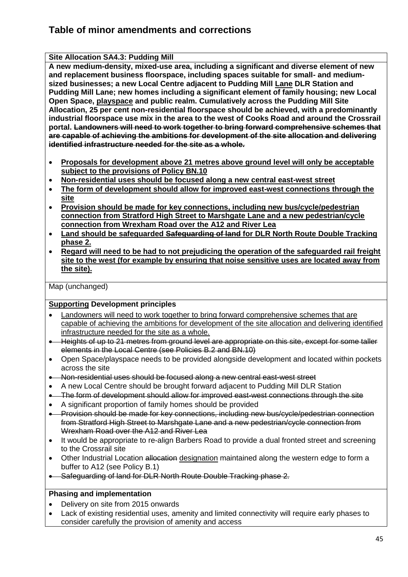**Site Allocation SA4.3: Pudding Mill A new medium-density, mixed-use area, including a significant and diverse element of new and replacement business floorspace, including spaces suitable for small- and mediumsized businesses; a new Local Centre adjacent to Pudding Mill Lane DLR Station and Pudding Mill Lane; new homes including a significant element of family housing; new Local Open Space, playspace and public realm. Cumulatively across the Pudding Mill Site Allocation, 25 per cent non-residential floorspace should be achieved, with a predominantly industrial floorspace use mix in the area to the west of Cooks Road and around the Crossrail portal. Landowners will need to work together to bring forward comprehensive schemes that are capable of achieving the ambitions for development of the site allocation and delivering identified infrastructure needed for the site as a whole.**

- **Proposals for development above 21 metres above ground level will only be acceptable subject to the provisions of Policy BN.10**
- **Non-residential uses should be focused along a new central east-west street**
- **The form of development should allow for improved east-west connections through the site**
- **Provision should be made for key connections, including new bus/cycle/pedestrian connection from Stratford High Street to Marshgate Lane and a new pedestrian/cycle connection from Wrexham Road over the A12 and River Lea**
- **Land should be safeguarded Safeguarding of land for DLR North Route Double Tracking phase 2.**
- **Regard will need to be had to not prejudicing the operation of the safeguarded rail freight site to the west (for example by ensuring that noise sensitive uses are located away from the site).**

Map (unchanged)

# **Supporting Development principles**

- Landowners will need to work together to bring forward comprehensive schemes that are capable of achieving the ambitions for development of the site allocation and delivering identified infrastructure needed for the site as a whole.
- Heights of up to 21 metres from ground level are appropriate on this site, except for some taller elements in the Local Centre (see Policies B.2 and BN.10)
- Open Space/playspace needs to be provided alongside development and located within pockets across the site
- Non-residential uses should be focused along a new central east-west street
- A new Local Centre should be brought forward adjacent to Pudding Mill DLR Station
- The form of development should allow for improved east-west connections through the site
- A significant proportion of family homes should be provided
- Provision should be made for key connections, including new bus/cycle/pedestrian connection from Stratford High Street to Marshgate Lane and a new pedestrian/cycle connection from Wrexham Road over the A12 and River Lea
- It would be appropriate to re-align Barbers Road to provide a dual fronted street and screening to the Crossrail site
- Other Industrial Location allocation designation maintained along the western edge to form a buffer to A12 (see Policy B.1)
- Safeguarding of land for DLR North Route Double Tracking phase 2.

## **Phasing and implementation**

- Delivery on site from 2015 onwards
- Lack of existing residential uses, amenity and limited connectivity will require early phases to consider carefully the provision of amenity and access